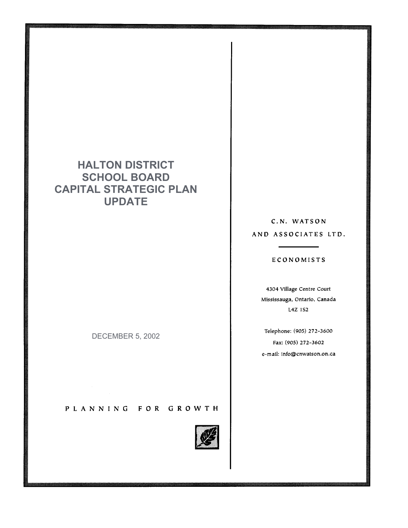## **HALTON DISTRICT SCHOOL BOARD CAPITAL STRATEGIC PLAN UPDATE**

DECEMBER 5, 2002

PLANNING FOR GROWTH



C.N. WATSON AND ASSOCIATES LTD.

#### ECONOMISTS

4304 Village Centre Court Mississauga, Ontario, Canada L4Z 1S2

Telephone: (905) 272-3600 Fax: (905) 272-3602 e-mail: info@cnwatson.on.ca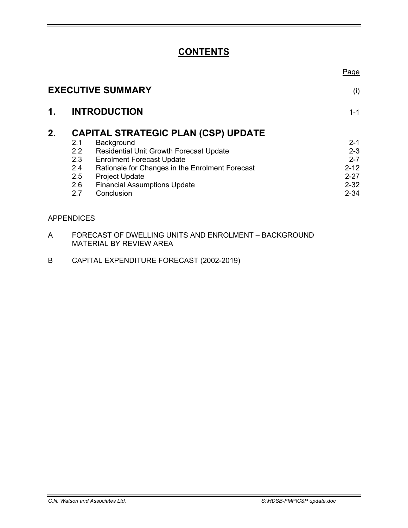## **CONTENTS**

|    |                  |                                                 | <u>Page</u> |
|----|------------------|-------------------------------------------------|-------------|
|    |                  | <b>EXECUTIVE SUMMARY</b>                        | (i)         |
| 1. |                  | <b>INTRODUCTION</b>                             | $1 - 1$     |
| 2. |                  | <b>CAPITAL STRATEGIC PLAN (CSP) UPDATE</b>      |             |
|    | 2.1              | Background                                      | $2 - 1$     |
|    | $2.2\phantom{0}$ | <b>Residential Unit Growth Forecast Update</b>  | $2 - 3$     |
|    | 2.3              | <b>Enrolment Forecast Update</b>                | $2 - 7$     |
|    | 2.4              | Rationale for Changes in the Enrolment Forecast | $2 - 12$    |
|    | 2.5              | <b>Project Update</b>                           | $2 - 27$    |
|    | 2.6              | <b>Financial Assumptions Update</b>             | $2 - 32$    |
|    | 2.7              | Conclusion                                      | $2 - 34$    |
|    |                  |                                                 |             |

### **APPENDICES**

- A FORECAST OF DWELLING UNITS AND ENROLMENT BACKGROUND MATERIAL BY REVIEW AREA
- B CAPITAL EXPENDITURE FORECAST (2002-2019)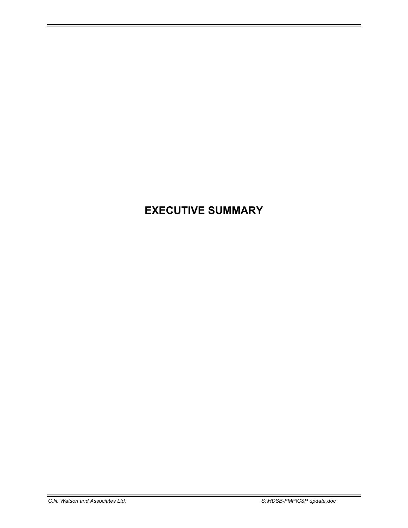# **EXECUTIVE SUMMARY**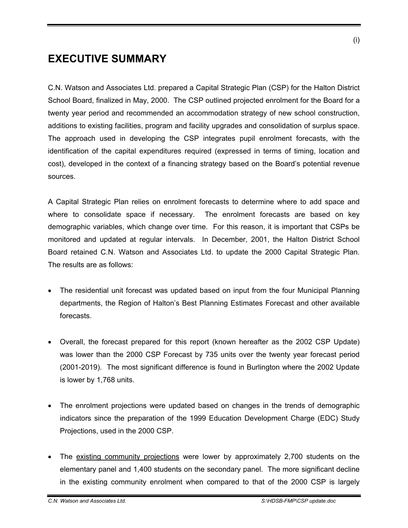## **EXECUTIVE SUMMARY**

C.N. Watson and Associates Ltd. prepared a Capital Strategic Plan (CSP) for the Halton District School Board, finalized in May, 2000. The CSP outlined projected enrolment for the Board for a twenty year period and recommended an accommodation strategy of new school construction, additions to existing facilities, program and facility upgrades and consolidation of surplus space. The approach used in developing the CSP integrates pupil enrolment forecasts, with the identification of the capital expenditures required (expressed in terms of timing, location and cost), developed in the context of a financing strategy based on the Board's potential revenue sources.

A Capital Strategic Plan relies on enrolment forecasts to determine where to add space and where to consolidate space if necessary. The enrolment forecasts are based on key demographic variables, which change over time. For this reason, it is important that CSPs be monitored and updated at regular intervals. In December, 2001, the Halton District School Board retained C.N. Watson and Associates Ltd. to update the 2000 Capital Strategic Plan. The results are as follows:

- The residential unit forecast was updated based on input from the four Municipal Planning departments, the Region of Halton's Best Planning Estimates Forecast and other available forecasts.
- Overall, the forecast prepared for this report (known hereafter as the 2002 CSP Update) was lower than the 2000 CSP Forecast by 735 units over the twenty year forecast period (2001-2019). The most significant difference is found in Burlington where the 2002 Update is lower by 1,768 units.
- The enrolment projections were updated based on changes in the trends of demographic indicators since the preparation of the 1999 Education Development Charge (EDC) Study Projections, used in the 2000 CSP.
- The existing community projections were lower by approximately 2,700 students on the elementary panel and 1,400 students on the secondary panel. The more significant decline in the existing community enrolment when compared to that of the 2000 CSP is largely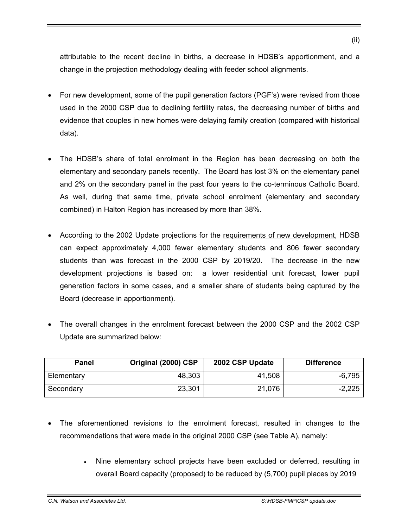attributable to the recent decline in births, a decrease in HDSB's apportionment, and a change in the projection methodology dealing with feeder school alignments.

- For new development, some of the pupil generation factors (PGF's) were revised from those used in the 2000 CSP due to declining fertility rates, the decreasing number of births and evidence that couples in new homes were delaying family creation (compared with historical data).
- The HDSB's share of total enrolment in the Region has been decreasing on both the elementary and secondary panels recently. The Board has lost 3% on the elementary panel and 2% on the secondary panel in the past four years to the co-terminous Catholic Board. As well, during that same time, private school enrolment (elementary and secondary combined) in Halton Region has increased by more than 38%.
- According to the 2002 Update projections for the requirements of new development, HDSB can expect approximately 4,000 fewer elementary students and 806 fewer secondary students than was forecast in the 2000 CSP by 2019/20. The decrease in the new development projections is based on: a lower residential unit forecast, lower pupil generation factors in some cases, and a smaller share of students being captured by the Board (decrease in apportionment).
- The overall changes in the enrolment forecast between the 2000 CSP and the 2002 CSP Update are summarized below:

| Panel      | Original (2000) CSP | 2002 CSP Update | <b>Difference</b> |
|------------|---------------------|-----------------|-------------------|
| Elementary | 48,303              | 41,508          | $-6,795$          |
| Secondary  | 23,301              | 21,076          | $-2,225$          |

- The aforementioned revisions to the enrolment forecast, resulted in changes to the recommendations that were made in the original 2000 CSP (see Table A), namely:
	- Nine elementary school projects have been excluded or deferred, resulting in overall Board capacity (proposed) to be reduced by (5,700) pupil places by 2019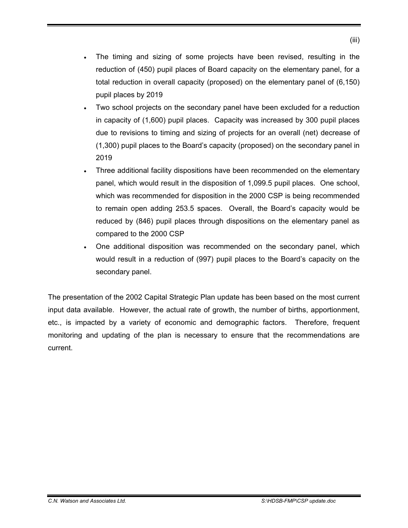- The timing and sizing of some projects have been revised, resulting in the reduction of (450) pupil places of Board capacity on the elementary panel, for a total reduction in overall capacity (proposed) on the elementary panel of (6,150) pupil places by 2019
- Two school projects on the secondary panel have been excluded for a reduction in capacity of (1,600) pupil places. Capacity was increased by 300 pupil places due to revisions to timing and sizing of projects for an overall (net) decrease of (1,300) pupil places to the Board's capacity (proposed) on the secondary panel in 2019
- Three additional facility dispositions have been recommended on the elementary panel, which would result in the disposition of 1,099.5 pupil places. One school, which was recommended for disposition in the 2000 CSP is being recommended to remain open adding 253.5 spaces. Overall, the Board's capacity would be reduced by (846) pupil places through dispositions on the elementary panel as compared to the 2000 CSP
- One additional disposition was recommended on the secondary panel, which would result in a reduction of (997) pupil places to the Board's capacity on the secondary panel.

The presentation of the 2002 Capital Strategic Plan update has been based on the most current input data available. However, the actual rate of growth, the number of births, apportionment, etc., is impacted by a variety of economic and demographic factors. Therefore, frequent monitoring and updating of the plan is necessary to ensure that the recommendations are current.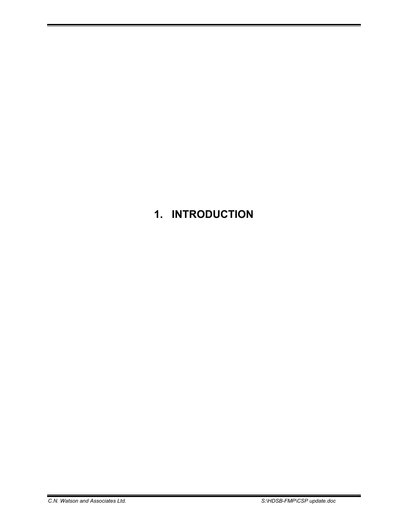# **1. INTRODUCTION**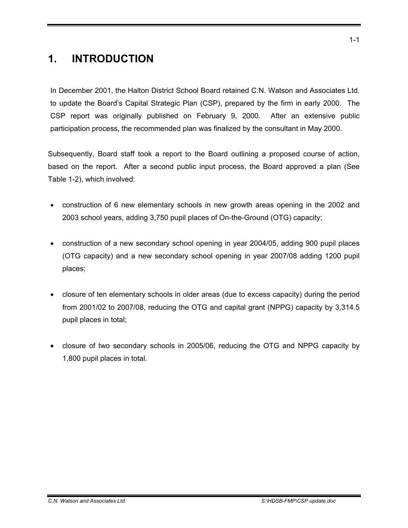# **1. INTRODUCTION**

In December 2001, the Halton District School Board retained C.N. Watson and Associates Ltd. to update the Board's Capital Strategic Plan (CSP), prepared by the firm in early 2000. The CSP report was originally published on February 9, 2000. After an extensive public participation process, the recommended plan was finalized by the consultant in May 2000.

Subsequently, Board staff took a report to the Board outlining a proposed course of action, based on the report. After a second public input process, the Board approved a plan (See Table 1-2), which involved:

- construction of 6 new elementary schools in new growth areas opening in the 2002 and 2003 school years, adding 3,750 pupil places of On-the-Ground (OTG) capacity;
- construction of a new secondary school opening in year 2004/05, adding 900 pupil places (OTG capacity) and a new secondary school opening in year 2007/08 adding 1200 pupil places;
- closure of ten elementary schools in older areas (due to excess capacity) during the period from 2001/02 to 2007/08, reducing the OTG and capital grant (NPPG) capacity by 3,314.5 pupil places in total;
- closure of two secondary schools in 2005/06, reducing the OTG and NPPG capacity by 1,800 pupil places in total.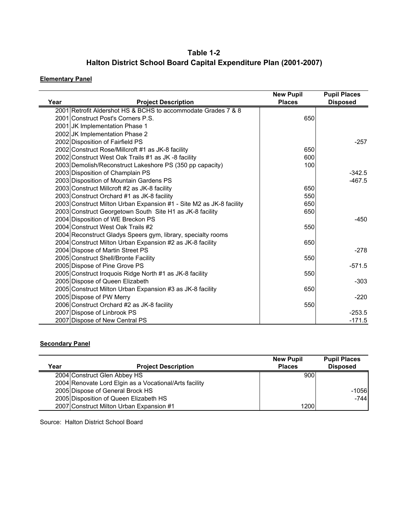### **Table 1-2 Halton District School Board Capital Expenditure Plan (2001-2007)**

### **Elementary Panel**

| Year | <b>Project Description</b>                                          | <b>New Pupil</b><br><b>Places</b> | <b>Pupil Places</b><br><b>Disposed</b> |
|------|---------------------------------------------------------------------|-----------------------------------|----------------------------------------|
|      | 2001 Retrofit Aldershot HS & BCHS to accommodate Grades 7 & 8       |                                   |                                        |
|      | 2001 Construct Post's Corners P.S.                                  | 650                               |                                        |
|      | 2001 JK Implementation Phase 1                                      |                                   |                                        |
|      | 2002 JK Implementation Phase 2                                      |                                   |                                        |
|      | 2002 Disposition of Fairfield PS                                    |                                   | $-257$                                 |
|      | 2002 Construct Rose/Millcroft #1 as JK-8 facility                   | 650                               |                                        |
|      | 2002 Construct West Oak Trails #1 as JK -8 facility                 | 600                               |                                        |
|      | 2003 Demolish/Reconstruct Lakeshore PS (350 pp capacity)            | 100                               |                                        |
|      | 2003 Disposition of Champlain PS                                    |                                   | $-342.5$                               |
|      | 2003 Disposition of Mountain Gardens PS                             |                                   | $-467.5$                               |
|      | 2003 Construct Millcroft #2 as JK-8 facility                        | 650                               |                                        |
|      | 2003 Construct Orchard #1 as JK-8 facility                          | 550                               |                                        |
|      | 2003 Construct Milton Urban Expansion #1 - Site M2 as JK-8 facility | 650                               |                                        |
|      | 2003 Construct Georgetown South Site H1 as JK-8 facility            | 650                               |                                        |
|      | 2004 Disposition of WE Breckon PS                                   |                                   | $-450$                                 |
|      | 2004 Construct West Oak Trails #2                                   | 550                               |                                        |
|      | 2004 Reconstruct Gladys Speers gym, library, specialty rooms        |                                   |                                        |
|      | 2004 Construct Milton Urban Expansion #2 as JK-8 facility           | 650                               |                                        |
|      | 2004 Dispose of Martin Street PS                                    |                                   | $-278$                                 |
|      | 2005 Construct Shell/Bronte Facility                                | 550                               |                                        |
|      | 2005 Dispose of Pine Grove PS                                       |                                   | $-571.5$                               |
|      | 2005 Construct Iroquois Ridge North #1 as JK-8 facility             | 550                               |                                        |
|      | 2005 Dispose of Queen Elizabeth                                     |                                   | $-303$                                 |
|      | 2005 Construct Milton Urban Expansion #3 as JK-8 facility           | 650                               |                                        |
|      | 2005 Dispose of PW Merry                                            |                                   | $-220$                                 |
|      | 2006 Construct Orchard #2 as JK-8 facility                          | 550                               |                                        |
|      | 2007 Dispose of Linbrook PS                                         |                                   | $-253.5$                               |
|      | 2007 Dispose of New Central PS                                      |                                   | $-171.5$                               |

#### **Secondary Panel**

|      |                                                        | <b>New Pupil</b> | <b>Pupil Places</b> |
|------|--------------------------------------------------------|------------------|---------------------|
| Year | <b>Project Description</b>                             | <b>Places</b>    | <b>Disposed</b>     |
|      | 2004 Construct Glen Abbey HS                           | 900              |                     |
|      | 2004 Renovate Lord Elgin as a Vocational/Arts facility |                  |                     |
|      | 2005 Dispose of General Brock HS                       |                  | $-1056$             |
|      | 2005 Disposition of Queen Elizabeth HS                 |                  | $-744$              |
|      | 2007 Construct Milton Urban Expansion #1               | 1200             |                     |

Source: Halton District School Board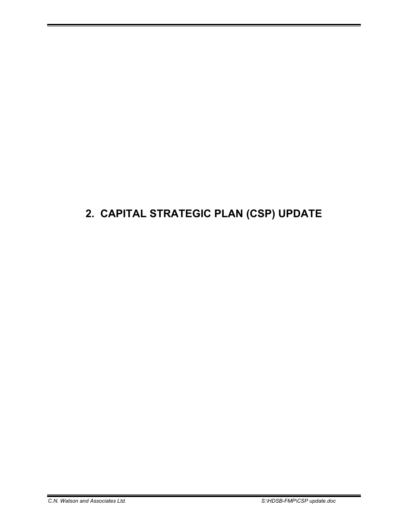# **2. CAPITAL STRATEGIC PLAN (CSP) UPDATE**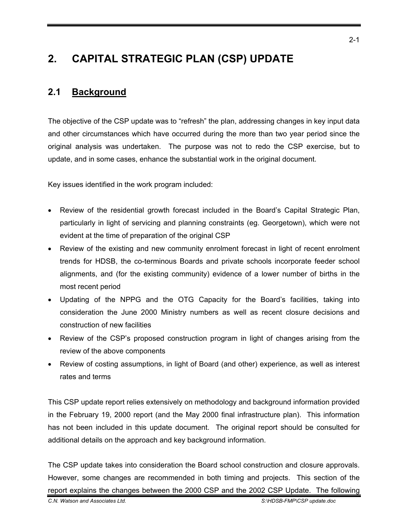# **2. CAPITAL STRATEGIC PLAN (CSP) UPDATE**

### **2.1 Background**

The objective of the CSP update was to "refresh" the plan, addressing changes in key input data and other circumstances which have occurred during the more than two year period since the original analysis was undertaken. The purpose was not to redo the CSP exercise, but to update, and in some cases, enhance the substantial work in the original document.

Key issues identified in the work program included:

- Review of the residential growth forecast included in the Board's Capital Strategic Plan, particularly in light of servicing and planning constraints (eg. Georgetown), which were not evident at the time of preparation of the original CSP
- Review of the existing and new community enrolment forecast in light of recent enrolment trends for HDSB, the co-terminous Boards and private schools incorporate feeder school alignments, and (for the existing community) evidence of a lower number of births in the most recent period
- Updating of the NPPG and the OTG Capacity for the Board's facilities, taking into consideration the June 2000 Ministry numbers as well as recent closure decisions and construction of new facilities
- Review of the CSP's proposed construction program in light of changes arising from the review of the above components
- Review of costing assumptions, in light of Board (and other) experience, as well as interest rates and terms

This CSP update report relies extensively on methodology and background information provided in the February 19, 2000 report (and the May 2000 final infrastructure plan). This information has not been included in this update document. The original report should be consulted for additional details on the approach and key background information.

The CSP update takes into consideration the Board school construction and closure approvals. However, some changes are recommended in both timing and projects. This section of the report explains the changes between the 2000 CSP and the 2002 CSP Update. The following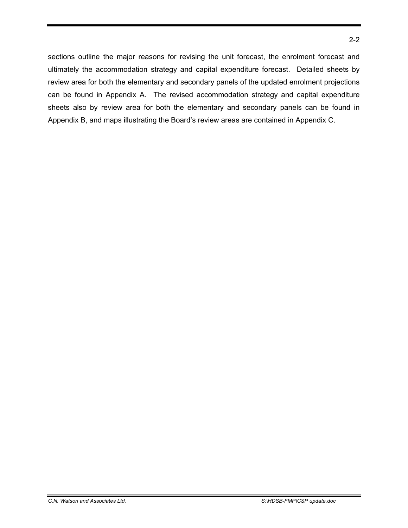sections outline the major reasons for revising the unit forecast, the enrolment forecast and ultimately the accommodation strategy and capital expenditure forecast. Detailed sheets by review area for both the elementary and secondary panels of the updated enrolment projections can be found in Appendix A. The revised accommodation strategy and capital expenditure sheets also by review area for both the elementary and secondary panels can be found in Appendix B, and maps illustrating the Board's review areas are contained in Appendix C.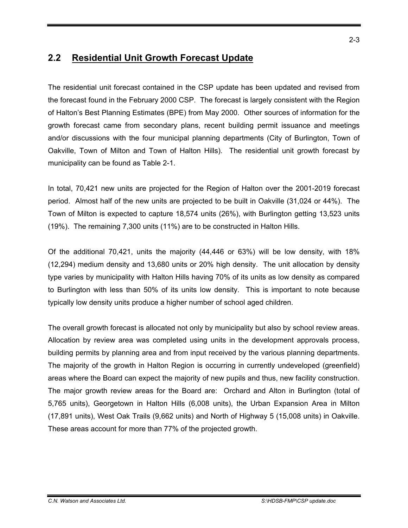## **2.2 Residential Unit Growth Forecast Update**

The residential unit forecast contained in the CSP update has been updated and revised from the forecast found in the February 2000 CSP. The forecast is largely consistent with the Region of Halton's Best Planning Estimates (BPE) from May 2000. Other sources of information for the growth forecast came from secondary plans, recent building permit issuance and meetings and/or discussions with the four municipal planning departments (City of Burlington, Town of Oakville, Town of Milton and Town of Halton Hills). The residential unit growth forecast by municipality can be found as Table 2-1.

In total, 70,421 new units are projected for the Region of Halton over the 2001-2019 forecast period. Almost half of the new units are projected to be built in Oakville (31,024 or 44%). The Town of Milton is expected to capture 18,574 units (26%), with Burlington getting 13,523 units (19%). The remaining 7,300 units (11%) are to be constructed in Halton Hills.

Of the additional 70,421, units the majority (44,446 or 63%) will be low density, with 18% (12,294) medium density and 13,680 units or 20% high density. The unit allocation by density type varies by municipality with Halton Hills having 70% of its units as low density as compared to Burlington with less than 50% of its units low density. This is important to note because typically low density units produce a higher number of school aged children.

The overall growth forecast is allocated not only by municipality but also by school review areas. Allocation by review area was completed using units in the development approvals process, building permits by planning area and from input received by the various planning departments. The majority of the growth in Halton Region is occurring in currently undeveloped (greenfield) areas where the Board can expect the majority of new pupils and thus, new facility construction. The major growth review areas for the Board are: Orchard and Alton in Burlington (total of 5,765 units), Georgetown in Halton Hills (6,008 units), the Urban Expansion Area in Milton (17,891 units), West Oak Trails (9,662 units) and North of Highway 5 (15,008 units) in Oakville. These areas account for more than 77% of the projected growth.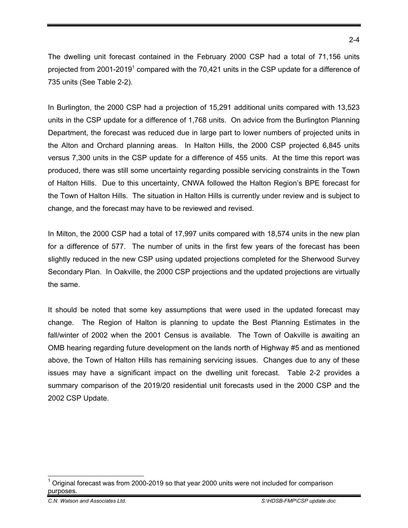The dwelling unit forecast contained in the February 2000 CSP had a total of 71,156 units projected from 2001-2019<sup>1</sup> compared with the 70,421 units in the CSP update for a difference of 735 units (See Table 2-2).

In Burlington, the 2000 CSP had a projection of 15,291 additional units compared with 13,523 units in the CSP update for a difference of 1,768 units. On advice from the Burlington Planning Department, the forecast was reduced due in large part to lower numbers of projected units in the Alton and Orchard planning areas. In Halton Hills, the 2000 CSP projected 6,845 units versus 7,300 units in the CSP update for a difference of 455 units. At the time this report was produced, there was still some uncertainty regarding possible servicing constraints in the Town of Halton Hills. Due to this uncertainty, CNWA followed the Halton Region's BPE forecast for the Town of Halton Hills. The situation in Halton Hills is currently under review and is subject to change, and the forecast may have to be reviewed and revised.

In Milton, the 2000 CSP had a total of 17,997 units compared with 18,574 units in the new plan for a difference of 577. The number of units in the first few years of the forecast has been slightly reduced in the new CSP using updated projections completed for the Sherwood Survey Secondary Plan. In Oakville, the 2000 CSP projections and the updated projections are virtually the same.

It should be noted that some key assumptions that were used in the updated forecast may change. The Region of Halton is planning to update the Best Planning Estimates in the fall/winter of 2002 when the 2001 Census is available. The Town of Oakville is awaiting an OMB hearing regarding future development on the lands north of Highway #5 and as mentioned above, the Town of Halton Hills has remaining servicing issues. Changes due to any of these issues may have a significant impact on the dwelling unit forecast. Table 2-2 provides a summary comparison of the 2019/20 residential unit forecasts used in the 2000 CSP and the 2002 CSP Update.

<sup>-</sup>1 Original forecast was from 2000-2019 so that year 2000 units were not included for comparison purposes.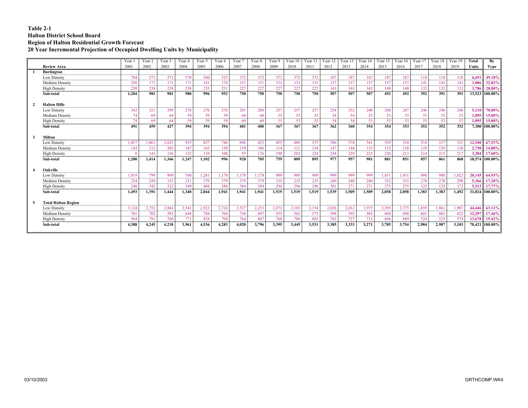#### **Table 2-1 Halton District School Board Region of Halton Residential Growth Forecast 20 Year Incremental Projection of Occupied Dwelling Units by Municipality**

|              |                            | Year 1   | Year 2 | Year 3 | Year 4 | Year 5 | Year 6 | Year 7 | Year 8 | Year 9 | Year $10$ | Year 11          | Year 12 | Year $13$ | Year $14$ | Year $15$ Year 16 |       | Year 17 | Year 18 | Year 19 | Total  | By             |
|--------------|----------------------------|----------|--------|--------|--------|--------|--------|--------|--------|--------|-----------|------------------|---------|-----------|-----------|-------------------|-------|---------|---------|---------|--------|----------------|
|              | <b>Review Area</b>         | 2001     | 2002   | 2003   | 2004   | 2005   | 2006   | 2007   | 2008   | 2009   | 2010      | 2011             | 2012    | 2013      | 2014      | 2015              | 2016  | 2017    | 2018    | 2019    | Units  | Type           |
|              | <b>Burlington</b>          |          |        |        |        |        |        |        |        |        |           |                  |         |           |           |                   |       |         |         |         |        |                |
|              | <b>Low Density</b>         | 704      | 571    | 571    | 570    | 560    | 525    | 372    | 372    | 372    | 372       | 372              | 187     | 187       | 187       | 187               | 187   | 119     | 118     | 118     | 6.651  | 49.18%         |
|              | Medium Density             | 250      | 171    | 171    | 171    | 181    | 176    | 151    | 151    | 151    | 151       | 151              | 157     | 157       | 157       | 157               | 157   | 141     | 141     | 141     | 3,086  | 22.82%         |
|              | <b>High Density</b>        | 250      | 238    | 238    | 238    | 255    | 251    | 227    | 227    | 227    | 227       | 227              | 163     | 163       | 163       | 148               | 148   | 132     | 132     | 132     | 3,786  | 28.00%         |
|              | Sub-total                  | 1.204    | 981    | 981    | 980    | 996    | 952    | 750    | 750    | 750    | 750       | 750              | 507     | 507       | 507       | 492               | 492   | 392     | 391     | 391     |        | 13,523 100.00% |
| $\mathbf{2}$ | <b>Halton Hills</b>        |          |        |        |        |        |        |        |        |        |           |                  |         |           |           |                   |       |         |         |         |        |                |
|              | Low Density                | 343      | 321    | 299    | 276    | 276    | 276    | 281    | 280    | 257    | 257       | 257              | 254     | 252       | 248       | 248               | 247   | 246     | 246     | 246     | 5,110  | 70.00%         |
|              | Medium Density             | 74       | 69     | 64     | 59     | 59     | 59     | 60     | 60     | 55     | 55        | 55               | 54      | 54        | 53        | 53                | 53    | 53      | 53      | 53      | 1.095  | 15.00%         |
|              | <b>High Density</b>        | 74       | 69     | 64     | 59     | 59     | 59     | 60     | 60     | 55     | 55        | 55               | 54      | 54        | 53        | 53                | 53    | 53      | 53      | 53      | 1.095  | 15.00%         |
|              | Sub-total                  | 491      | 459    | 427    | 394    | 394    | 394    | 401    | 400    | 367    | 367       | $\overline{367}$ | 362     | 360       | 354       | 354               | 353   | 352     | 352     | 352     |        | 7,300 100.00%  |
| 3            | <b>Milton</b>              |          |        |        |        |        |        |        |        |        |           |                  |         |           |           |                   |       |         |         |         |        |                |
|              | <b>Low Density</b>         | 1.057    | 1.061  | 1.025  | 935    | 827    | 746    | 696    | 423    | 455    | 486       | 537              | 586     | 574       | 541       | 529               | 510   | 514     | 517     | 521     | 12,540 | 67.51%         |
|              | Medium Density             | 143      | 212    | 205    | 187    | 165    | 150    | 139    | 106    | 114    | 121       | 134              | 147     | 144       | 135       | 132               | 128   | 129     | 129     | 130     | 2,750  | 14.80%         |
|              | <b>High Density</b>        | $\Omega$ | 141    | 136    | 125    | 110    | 100    | 93     | 176    | 190    | 202       | 224              | 244     | 239       | 225       | 220               | 213   | 214     | 215     | 217     | 3,284  | 17.68%         |
|              | Sub-total                  | 1.200    | 1.414  | 1.366  | 1.247  | 1.102  | 996    | 928    | 705    | 759    | 809       | 895              | 977     | 957       | 901       | 881               | 851   | 857     | 861     | 868     |        | 18.574 100.00% |
|              | Oakville                   |          |        |        |        |        |        |        |        |        |           |                  |         |           |           |                   |       |         |         |         |        |                |
|              | <b>Low Density</b>         | 1.019    | 799    | 969    | 760    | 1,261  | .178   | 1.178  | 1.178  | 989    | 989       | 989              | 999     | 999       | 999       | 1,431             | 1.431 | 980     | 980     | 1,022   | 20.145 | 64.93%         |
|              | Medium Density             | 234      | 250    | 153    | 231    | 379    | 379    | 379    | 379    | 235    | 235       | 235              | 240     | 240       | 240       | 352               | 352   | 278     | 278     | 298     | 5,366  | 17.30%         |
|              | <b>High Density</b>        | 240      | 342    | 322    | 349    | 404    | 384    | 384    | 384    | 296    | 296       | 296              | 301     | 271       | 271       | 275               | 275   | 125     | 125     | 172     | 5,513  | 17.77%         |
|              | Sub-total                  | 1,493    | 1.391  | 1.444  | 1.340  | 2.044  | 1.941  | 1.941  | 1.941  | 1.519  | 1.519     | 1.519            | 1.539   | 1.509     | 1.509     | 2.058             | 2.058 | 1.383   | 1.383   | 1.492   |        | 31,024 100.00% |
|              | <b>Total Halton Region</b> |          |        |        |        |        |        |        |        |        |           |                  |         |           |           |                   |       |         |         |         |        |                |
|              | Low Density                | 3,124    | 2,752  | 2,864  | 2,541  | 2.923  | 2,724  | 2,527  | 2,253  | 2,072  | 2,103     | 2,154            | 2.026   | 2,012     | 1.975     | 2,395             | 2,375 | 1,859   | 1.861   | 1,907   | 44,446 | 63.11%         |
|              | Medium Density             | 701      | 702    | 593    | 648    | 784    | 764    | 730    | 697    | 555    | 562       | 575              | 598     | 595       | 585       | 694               | 690   | 601     | 601     | 622     | 12,297 | 17.46%         |
|              | <b>High Density</b>        | 564      | 791    | 760    | 771    | 828    | 794    | 764    | 847    | 768    | 780       | 802              | 762     | 727       | 712       | 696               | 689   | 524     | 525     | 574     | 13,678 | 19.42%         |
|              | Sub-total                  | 4,388    | 4,245  | 4,218  | 3,961  | 4,536  | 4,283  | 4,020  | 3,796  | 3,395  | 3,445     | 3,531            | 3,385   | 3,333     | 3,271     | 3,785             | 3,754 | 2,984   | 2,987   | 3,103   |        | 70,421 100.00% |
|              |                            |          |        |        |        |        |        |        |        |        |           |                  |         |           |           |                   |       |         |         |         |        |                |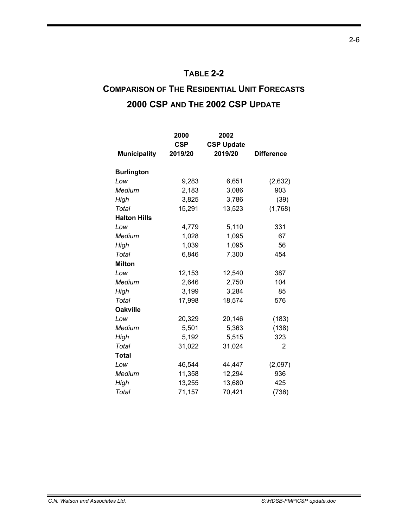### **TABLE 2-2**

# **COMPARISON OF THE RESIDENTIAL UNIT FORECASTS 2000 CSP AND THE 2002 CSP UPDATE**

|                     | 2000       | 2002              |                   |
|---------------------|------------|-------------------|-------------------|
|                     | <b>CSP</b> | <b>CSP Update</b> |                   |
| <b>Municipality</b> | 2019/20    | 2019/20           | <b>Difference</b> |
|                     |            |                   |                   |
| <b>Burlington</b>   |            |                   |                   |
| Low                 | 9,283      | 6,651             | (2,632)           |
| Medium              | 2,183      | 3,086             | 903               |
| High                | 3,825      | 3,786             | (39)              |
| Total               | 15,291     | 13,523            | (1,768)           |
| <b>Halton Hills</b> |            |                   |                   |
| Low                 | 4,779      | 5,110             | 331               |
| Medium              | 1,028      | 1,095             | 67                |
| High                | 1,039      | 1,095             | 56                |
| Total               | 6,846      | 7,300             | 454               |
| <b>Milton</b>       |            |                   |                   |
| Low                 | 12,153     | 12,540            | 387               |
| Medium              | 2,646      | 2,750             | 104               |
| High                | 3,199      | 3,284             | 85                |
| Total               | 17,998     | 18,574            | 576               |
| <b>Oakville</b>     |            |                   |                   |
| Low                 | 20,329     | 20,146            | (183)             |
| Medium              | 5,501      | 5,363             | (138)             |
| High                | 5,192      | 5,515             | 323               |
| Total               | 31,022     | 31,024            | 2                 |
| <b>Total</b>        |            |                   |                   |
| Low                 | 46,544     | 44,447            | (2,097)           |
| Medium              | 11,358     | 12,294            | 936               |
| High                | 13,255     | 13,680            | 425               |
| Total               | 71,157     | 70,421            | (736)             |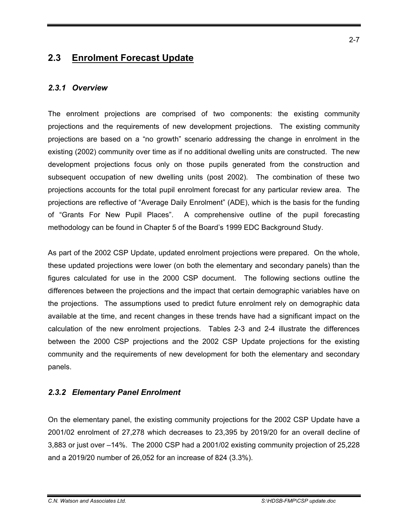## **2.3 Enrolment Forecast Update**

### *2.3.1 Overview*

The enrolment projections are comprised of two components: the existing community projections and the requirements of new development projections. The existing community projections are based on a "no growth" scenario addressing the change in enrolment in the existing (2002) community over time as if no additional dwelling units are constructed. The new development projections focus only on those pupils generated from the construction and subsequent occupation of new dwelling units (post 2002). The combination of these two projections accounts for the total pupil enrolment forecast for any particular review area. The projections are reflective of "Average Daily Enrolment" (ADE), which is the basis for the funding of "Grants For New Pupil Places". A comprehensive outline of the pupil forecasting methodology can be found in Chapter 5 of the Board's 1999 EDC Background Study.

As part of the 2002 CSP Update, updated enrolment projections were prepared. On the whole, these updated projections were lower (on both the elementary and secondary panels) than the figures calculated for use in the 2000 CSP document. The following sections outline the differences between the projections and the impact that certain demographic variables have on the projections. The assumptions used to predict future enrolment rely on demographic data available at the time, and recent changes in these trends have had a significant impact on the calculation of the new enrolment projections. Tables 2-3 and 2-4 illustrate the differences between the 2000 CSP projections and the 2002 CSP Update projections for the existing community and the requirements of new development for both the elementary and secondary panels.

### *2.3.2 Elementary Panel Enrolment*

On the elementary panel, the existing community projections for the 2002 CSP Update have a 2001/02 enrolment of 27,278 which decreases to 23,395 by 2019/20 for an overall decline of 3,883 or just over –14%. The 2000 CSP had a 2001/02 existing community projection of 25,228 and a 2019/20 number of 26,052 for an increase of 824 (3.3%).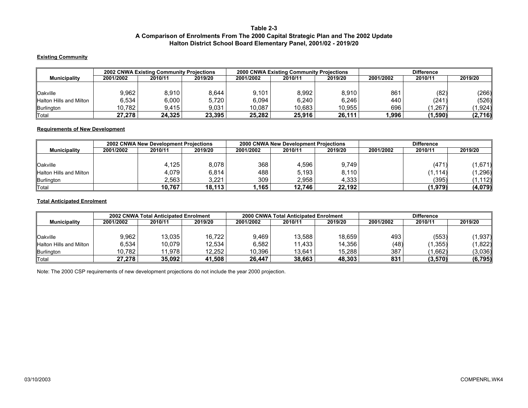#### **Table 2-3 A Comparison of Enrolments From The 2000 Capital Strategic Plan and The 2002 Update Halton District School Board Elementary Panel, 2001/02 - 2019/20**

#### **Existing Community**

|                         |           | <b>2002 CNWA Existing Community Projections</b> |         |           | <b>2000 CNWA Existing Community Projections</b> |         |           | <b>Difference</b> |         |
|-------------------------|-----------|-------------------------------------------------|---------|-----------|-------------------------------------------------|---------|-----------|-------------------|---------|
| <b>Municipality</b>     | 2001/2002 | 2010/11                                         | 2019/20 | 2001/2002 | 2010/11                                         | 2019/20 | 2001/2002 | 2010/11           | 2019/20 |
|                         |           |                                                 |         |           |                                                 |         |           |                   |         |
| Oakville                | 9.962     | 8.910                                           | 8.644   | 9,101     | 8,992                                           | 8,910   | 861       | (82)              | (266)   |
| Halton Hills and Milton | 6,534     | 6,000                                           | 5.720   | 6,094     | 6.240                                           | 6,246   | 440       | (241)             | (526)   |
| Burlington              | 10.782    | 9.415                                           | 9.031   | 10.087    | 10.683                                          | 10.955  | 696       | .267              | ال924.، |
| Total                   | 27.278    | 24.325                                          | 23.395  | 25.282    | 25.916                                          | 26,111  | 1.996     | $1,590^{\circ}$   | (2,716) |

#### **Requirements of New Development**

|                         |           | 2002 CNWA New Development Projections |         |           | 2000 CNWA New Development Projections |         |           | <b>Difference</b> |          |
|-------------------------|-----------|---------------------------------------|---------|-----------|---------------------------------------|---------|-----------|-------------------|----------|
| <b>Municipality</b>     | 2001/2002 | 2010/11                               | 2019/20 | 2001/2002 | 2010/11                               | 2019/20 | 2001/2002 | 2010/11           | 2019/20  |
|                         |           |                                       |         |           |                                       |         |           |                   |          |
| Oakville                |           | 4,125                                 | 8.078   | 368       | 4,596                                 | 9.749   |           | (471)             | (1,671)  |
| Halton Hills and Milton |           | 4.079                                 | 6.814   | 488       | 5.193                                 | 8.110   |           | (1.114)           | (1, 296) |
| Burlington              |           | 2.563                                 | 3.221   | 309       | 2.958                                 | 4.333   |           | (395)             | (1.112)  |
| Total                   |           | 10.767                                | 18.113  | ∛ 165,،   | 12.746                                | 22.192  |           | (1,979)           | (4,079)  |

#### **Total Anticipated Enrolment**

|                         |           | 2002 CNWA Total Anticipated Enrolment |         |           | 2000 CNWA Total Anticipated Enrolment |         |           | <b>Difference</b> |          |
|-------------------------|-----------|---------------------------------------|---------|-----------|---------------------------------------|---------|-----------|-------------------|----------|
| <b>Municipality</b>     | 2001/2002 | 2010/11                               | 2019/20 | 2001/2002 | 2010/11                               | 2019/20 | 2001/2002 | 2010/11           | 2019/20  |
|                         |           |                                       |         |           |                                       |         |           |                   |          |
| <b>Oakville</b>         | 9.962     | 13.035                                | 16,722  | 9,469     | 13.588                                | 18,659  | 493       | (553)             | (1,937)  |
| Halton Hills and Milton | 6,534     | 10.079                                | 12.534  | 6.582     | .433                                  | 14.356  | (48)      | $.355^{\circ}$    | (1,822)  |
| Burlington              | 10.782    | 11.978                                | 12.252  | 10.396    | 13.641                                | 15.288  | 387       | ,662)             | (3,036)  |
| Total                   | 27,278    | 35.092                                | 41.508  | 26.447    | 38,663                                | 48,303  | 831       | (3, 570)          | (6, 795) |

Note: The 2000 CSP requirements of new development projections do not include the year 2000 projection.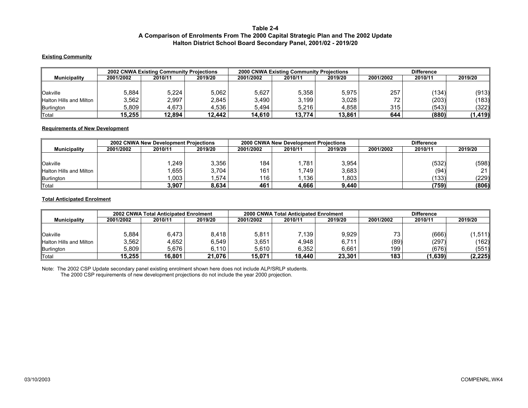#### **Table 2-4 A Comparison of Enrolments From The 2000 Capital Strategic Plan and The 2002 Update Halton District School Board Secondary Panel, 2001/02 - 2019/20**

#### **Existing Community**

|                         |           | <b>2002 CNWA Existing Community Projections</b> |         |           | <b>2000 CNWA Existing Community Projections</b> |         |           | <b>Difference</b> |          |
|-------------------------|-----------|-------------------------------------------------|---------|-----------|-------------------------------------------------|---------|-----------|-------------------|----------|
| <b>Municipality</b>     | 2001/2002 | 2010/11                                         | 2019/20 | 2001/2002 | 2010/11                                         | 2019/20 | 2001/2002 | 2010/11           | 2019/20  |
|                         |           |                                                 |         |           |                                                 |         |           |                   |          |
| <sup>' </sup> Oakville  | 5,884     | 5,224                                           | 5.062   | 5,627     | 5.358                                           | 5,975   | 257       | (134)             | (913)    |
| Halton Hills and Milton | 3,562     | 2,997                                           | 2.845   | 3,490     | 3,199                                           | 3,028   | 72.       | (203)             | (183)∥   |
| Burlington              | 5.809     | 4.673                                           | 4.536   | 5.494     | 5.216                                           | 4.858   | 315       | (543)             | (322)    |
| ∥Total                  | 15.255    | 12.894                                          | 12.442  | 14.610    | 13.774                                          | 13.861  | 644       | (880)             | (1, 419) |

#### **Requirements of New Development**

|                         |           | <b>2002 CNWA New Development Projections</b> |         |           | 2000 CNWA New Development Projections |         |           | <b>Difference</b> |                 |
|-------------------------|-----------|----------------------------------------------|---------|-----------|---------------------------------------|---------|-----------|-------------------|-----------------|
| <b>Municipality</b>     | 2001/2002 | 2010/11                                      | 2019/20 | 2001/2002 | 2010/11                               | 2019/20 | 2001/2002 | 2010/11           | 2019/20         |
|                         |           |                                              |         |           |                                       |         |           |                   |                 |
| loakville               |           | .249                                         | 3.356   | 184       | ,781                                  | 3.954   |           | (532)             | (598)           |
| Halton Hills and Milton |           | .655                                         | 3.704   | 161       | .749                                  | 3,683   |           | (94               | 21 <sup>1</sup> |
| Burlington              |           | .003                                         | .574    | 116       | .136                                  | .803    |           | (133)             | (229)           |
| ∥Total                  |           | 3,907                                        | 8.634   | 461       | 4.666                                 | 9.440   |           | (759)             | (806)           |

#### **Total Anticipated Enrolment**

|                         |           | <b>2002 CNWA Total Anticipated Enrolment</b> |         |           | 2000 CNWA Total Anticipated Enrolment |         |           | <b>Difference</b> |          |
|-------------------------|-----------|----------------------------------------------|---------|-----------|---------------------------------------|---------|-----------|-------------------|----------|
| <b>Municipality</b>     | 2001/2002 | 2010/11                                      | 2019/20 | 2001/2002 | 2010/11                               | 2019/20 | 2001/2002 | 2010/11           | 2019/20  |
|                         |           |                                              |         |           |                                       |         |           |                   |          |
| <b>Oakville</b>         | 5.884     | 6.473                                        | 8.418   | 5,811     | $^{\prime}$ .139                      | 9.929   | 73        | (666)             | ا(511.   |
| Halton Hills and Milton | 3.562     | 4,652                                        | 6.549   | 3,651     | 4.948                                 | 6.711   | (89)      | (297)             | (162)    |
| Burlington              | 5.809     | 5,676                                        | 6.110   | 5,610     | 6.352                                 | 6.661   | 199       | (676)             | (551)    |
| ∥Total                  | 15.255    | 16.801                                       | 21.076  | 15.071    | 18.440                                | 23.301  | 183       | (1,639)           | (2, 225) |

Note: The 2002 CSP Update secondary panel existing enrolment shown here does not include ALP/SRLP students.

The 2000 CSP requirements of new development projections do not include the year 2000 projection.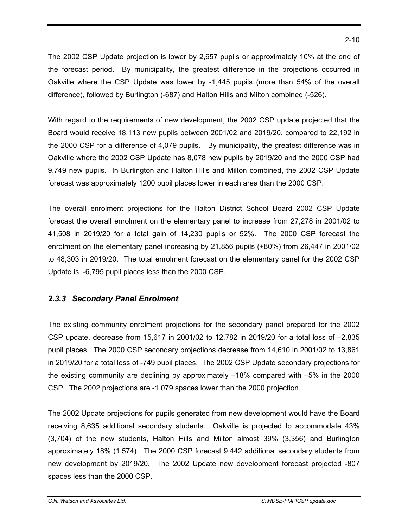The 2002 CSP Update projection is lower by 2,657 pupils or approximately 10% at the end of the forecast period. By municipality, the greatest difference in the projections occurred in Oakville where the CSP Update was lower by -1,445 pupils (more than 54% of the overall difference), followed by Burlington (-687) and Halton Hills and Milton combined (-526).

With regard to the requirements of new development, the 2002 CSP update projected that the Board would receive 18,113 new pupils between 2001/02 and 2019/20, compared to 22,192 in the 2000 CSP for a difference of 4,079 pupils. By municipality, the greatest difference was in Oakville where the 2002 CSP Update has 8,078 new pupils by 2019/20 and the 2000 CSP had 9,749 new pupils. In Burlington and Halton Hills and Milton combined, the 2002 CSP Update forecast was approximately 1200 pupil places lower in each area than the 2000 CSP.

The overall enrolment projections for the Halton District School Board 2002 CSP Update forecast the overall enrolment on the elementary panel to increase from 27,278 in 2001/02 to 41,508 in 2019/20 for a total gain of 14,230 pupils or 52%. The 2000 CSP forecast the enrolment on the elementary panel increasing by 21,856 pupils (+80%) from 26,447 in 2001/02 to 48,303 in 2019/20. The total enrolment forecast on the elementary panel for the 2002 CSP Update is -6,795 pupil places less than the 2000 CSP.

### *2.3.3 Secondary Panel Enrolment*

The existing community enrolment projections for the secondary panel prepared for the 2002 CSP update, decrease from 15,617 in 2001/02 to 12,782 in 2019/20 for a total loss of –2,835 pupil places. The 2000 CSP secondary projections decrease from 14,610 in 2001/02 to 13,861 in 2019/20 for a total loss of -749 pupil places. The 2002 CSP Update secondary projections for the existing community are declining by approximately –18% compared with –5% in the 2000 CSP. The 2002 projections are -1,079 spaces lower than the 2000 projection.

The 2002 Update projections for pupils generated from new development would have the Board receiving 8,635 additional secondary students. Oakville is projected to accommodate 43% (3,704) of the new students, Halton Hills and Milton almost 39% (3,356) and Burlington approximately 18% (1,574). The 2000 CSP forecast 9,442 additional secondary students from new development by 2019/20. The 2002 Update new development forecast projected -807 spaces less than the 2000 CSP.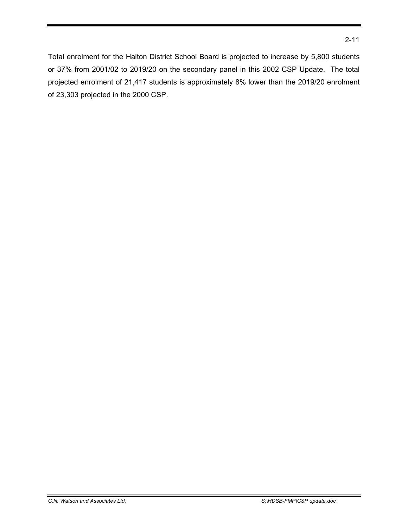Total enrolment for the Halton District School Board is projected to increase by 5,800 students or 37% from 2001/02 to 2019/20 on the secondary panel in this 2002 CSP Update. The total projected enrolment of 21,417 students is approximately 8% lower than the 2019/20 enrolment of 23,303 projected in the 2000 CSP.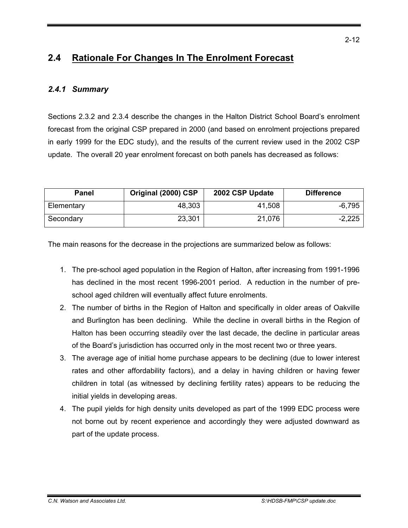## **2.4 Rationale For Changes In The Enrolment Forecast**

### *2.4.1 Summary*

Sections 2.3.2 and 2.3.4 describe the changes in the Halton District School Board's enrolment forecast from the original CSP prepared in 2000 (and based on enrolment projections prepared in early 1999 for the EDC study), and the results of the current review used in the 2002 CSP update. The overall 20 year enrolment forecast on both panels has decreased as follows:

| <b>Panel</b> | Original (2000) CSP | 2002 CSP Update | <b>Difference</b> |
|--------------|---------------------|-----------------|-------------------|
| Elementary   | 48,303              | 41,508          | $-6,795$          |
| Secondary    | 23,301              | 21,076          | $-2,225$          |

The main reasons for the decrease in the projections are summarized below as follows:

- 1. The pre-school aged population in the Region of Halton, after increasing from 1991-1996 has declined in the most recent 1996-2001 period. A reduction in the number of preschool aged children will eventually affect future enrolments.
- 2. The number of births in the Region of Halton and specifically in older areas of Oakville and Burlington has been declining. While the decline in overall births in the Region of Halton has been occurring steadily over the last decade, the decline in particular areas of the Board's jurisdiction has occurred only in the most recent two or three years.
- 3. The average age of initial home purchase appears to be declining (due to lower interest rates and other affordability factors), and a delay in having children or having fewer children in total (as witnessed by declining fertility rates) appears to be reducing the initial yields in developing areas.
- 4. The pupil yields for high density units developed as part of the 1999 EDC process were not borne out by recent experience and accordingly they were adjusted downward as part of the update process.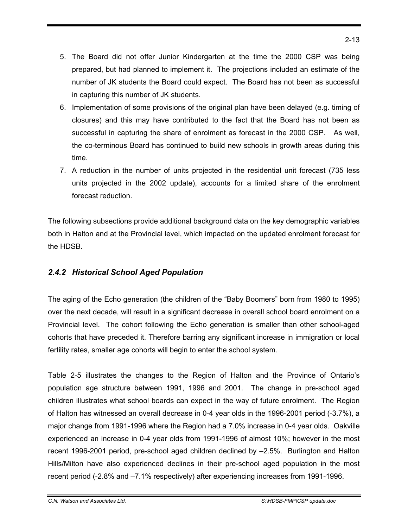- 5. The Board did not offer Junior Kindergarten at the time the 2000 CSP was being prepared, but had planned to implement it. The projections included an estimate of the number of JK students the Board could expect. The Board has not been as successful in capturing this number of JK students.
- 6. Implementation of some provisions of the original plan have been delayed (e.g. timing of closures) and this may have contributed to the fact that the Board has not been as successful in capturing the share of enrolment as forecast in the 2000 CSP. As well, the co-terminous Board has continued to build new schools in growth areas during this time.
- 7. A reduction in the number of units projected in the residential unit forecast (735 less units projected in the 2002 update), accounts for a limited share of the enrolment forecast reduction.

The following subsections provide additional background data on the key demographic variables both in Halton and at the Provincial level, which impacted on the updated enrolment forecast for the HDSB.

### *2.4.2 Historical School Aged Population*

The aging of the Echo generation (the children of the "Baby Boomers" born from 1980 to 1995) over the next decade, will result in a significant decrease in overall school board enrolment on a Provincial level. The cohort following the Echo generation is smaller than other school-aged cohorts that have preceded it. Therefore barring any significant increase in immigration or local fertility rates, smaller age cohorts will begin to enter the school system.

Table 2-5 illustrates the changes to the Region of Halton and the Province of Ontario's population age structure between 1991, 1996 and 2001. The change in pre-school aged children illustrates what school boards can expect in the way of future enrolment. The Region of Halton has witnessed an overall decrease in 0-4 year olds in the 1996-2001 period (-3.7%), a major change from 1991-1996 where the Region had a 7.0% increase in 0-4 year olds. Oakville experienced an increase in 0-4 year olds from 1991-1996 of almost 10%; however in the most recent 1996-2001 period, pre-school aged children declined by –2.5%. Burlington and Halton Hills/Milton have also experienced declines in their pre-school aged population in the most recent period (-2.8% and –7.1% respectively) after experiencing increases from 1991-1996.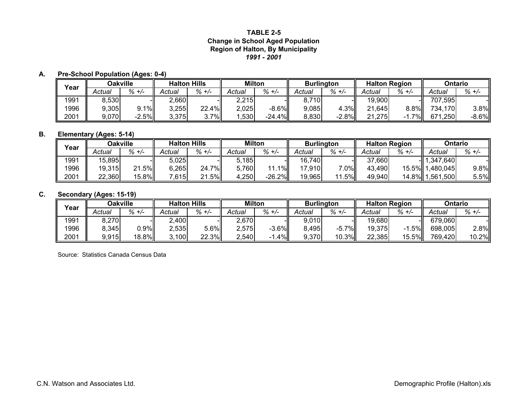#### **Region of Halton, By Municipality** *1991 - 2001***TABLE 2-5Change in School Aged Population**

#### **A. Pre-School Population (Ages: 0-4)**

| Year |        | <b>Oakville</b> |        | <b>Halton Hills</b> |        | Milton     | <b>Burlington</b> |         | <b>Halton Region</b> |           | Ontario     |           |
|------|--------|-----------------|--------|---------------------|--------|------------|-------------------|---------|----------------------|-----------|-------------|-----------|
|      | Actual | $\% +/-$        | Actual | %<br>$+/-$          | Actual | %<br>$+/-$ | Actual            | % +/-   | Actual               | $\% +$ /- | Actual      | $\% +$ /- |
| 1991 | 8,530  |                 | 2,660  |                     | 2,215  |            | 710               |         | 19,900               |           | 707,595     |           |
| 1996 | 9,305  | $1\%$           | 3,255  | 22.4%               | 2,025  | $-8.6\%$   | 9.085             | 4.3%    | 21,645               | 8.8%      | 734,170     | 3.8%      |
| 2001 | 9,070  | $-2.5%$         | 3,375  | 3.7%                | ,530   | $-24.4%$   | 8,830             | $-2.8%$ | ا275.،<br>21         | 7%I       | 671<br>,250 | $-8.6%$   |

### **B. Elementary (Ages: 5-14)**

| Year | Oakville |         | <b>Halton Hills</b> |                    | <b>Milton</b> |           | <b>Burlington</b> |            | <b>Halton Region</b> |             | Ontario         |           |
|------|----------|---------|---------------------|--------------------|---------------|-----------|-------------------|------------|----------------------|-------------|-----------------|-----------|
|      | Actual   | % +/-   | Actual              | $\% +$ /-          | Actual        | $\% +/-$  | Actual            | $\% + -$   | Actual               | $\% +/-$    | Actual          | $\% +$ /- |
| 1991 | 15,895   |         | 5,025               |                    | 5.185         |           | 16,740            |            | 37,660               |             | $-$ 1,347,640   |           |
| 1996 | 19,315   | $1.5\%$ | 6,265               | 7%<br>24.          | 5,760         | $1\%$     | 17,910            | $7.0\%$    | 43,490               |             | 15.5% 1,480,045 | $9.8\%$   |
| 2001 | 22,360   | 15.8%   | $^{\prime}$ .615    | .5%ll<br><b>21</b> | .250          | $-26.2\%$ | 19,965            | .5%<br>-11 | 49,940               | 14.8% 1,561 | ,500            | 5.5%      |

### **C. Secondary (Ages: 15-19)**

| Year |        | <b>Dakville</b> |              | <b>Halton Hills</b> | <b>Milton</b> |          | <b>Burlington</b> |         |        | <b>Halton Region</b> | Ontario |       |
|------|--------|-----------------|--------------|---------------------|---------------|----------|-------------------|---------|--------|----------------------|---------|-------|
|      | Actual | $% +/-$         | Actual       | $\% +$ /-           | Actual        | $\% +/-$ | Actual            | % +/-   | Actual | $\% +$ /-            | Actual  | % +/- |
| 1991 | 8,270  |                 | $\angle,400$ |                     | 2,670         |          | 9,010             |         | 19,680 |                      | 679,060 |       |
| 1996 | 8,345  | $0.9\%$         | 2,535        | 5.6%                | 2,575         | $-3.6%$  | 8,495             | $-5.7%$ | 19,375 | .5%II                | 698,005 | 2.8%  |
| 2001 | 9,915  | 18.8%           | 3,100        | 22.3%               | 2,540         | 4%       | 9,370             | 10.3%   | 22,385 | 15.5%                | 769,420 | 10.2% |

Source: Statistics Canada Census Data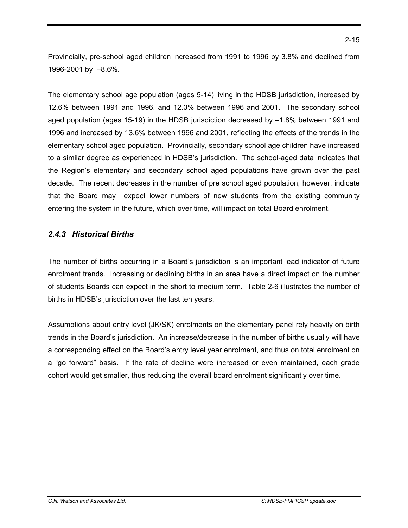Provincially, pre-school aged children increased from 1991 to 1996 by 3.8% and declined from 1996-2001 by –8.6%.

The elementary school age population (ages 5-14) living in the HDSB jurisdiction, increased by 12.6% between 1991 and 1996, and 12.3% between 1996 and 2001. The secondary school aged population (ages 15-19) in the HDSB jurisdiction decreased by –1.8% between 1991 and 1996 and increased by 13.6% between 1996 and 2001, reflecting the effects of the trends in the elementary school aged population. Provincially, secondary school age children have increased to a similar degree as experienced in HDSB's jurisdiction. The school-aged data indicates that the Region's elementary and secondary school aged populations have grown over the past decade. The recent decreases in the number of pre school aged population, however, indicate that the Board may expect lower numbers of new students from the existing community entering the system in the future, which over time, will impact on total Board enrolment.

### *2.4.3 Historical Births*

The number of births occurring in a Board's jurisdiction is an important lead indicator of future enrolment trends. Increasing or declining births in an area have a direct impact on the number of students Boards can expect in the short to medium term. Table 2-6 illustrates the number of births in HDSB's jurisdiction over the last ten years.

Assumptions about entry level (JK/SK) enrolments on the elementary panel rely heavily on birth trends in the Board's jurisdiction. An increase/decrease in the number of births usually will have a corresponding effect on the Board's entry level year enrolment, and thus on total enrolment on a "go forward" basis. If the rate of decline were increased or even maintained, each grade cohort would get smaller, thus reducing the overall board enrolment significantly over time.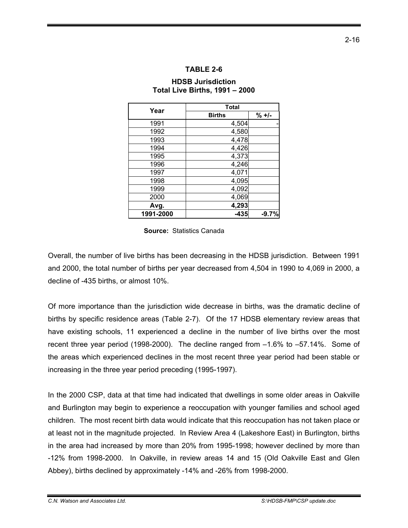#### **TABLE 2-6**

### **HDSB Jurisdiction Total Live Births, 1991 – 2000**

| Year      | <b>Total</b>  |          |
|-----------|---------------|----------|
|           | <b>Births</b> | $% +1 -$ |
| 1991      | 4,504         |          |
| 1992      | 4,580         |          |
| 1993      | 4,478         |          |
| 1994      | 4,426         |          |
| 1995      | 4,373         |          |
| 1996      | 4,246         |          |
| 1997      | 4,071         |          |
| 1998      | 4,095         |          |
| 1999      | 4,092         |          |
| 2000      | 4,069         |          |
| Avg.      | 4,293         |          |
| 1991-2000 | $-435$        | $-9.7%$  |

#### **Source:** Statistics Canada

Overall, the number of live births has been decreasing in the HDSB jurisdiction. Between 1991 and 2000, the total number of births per year decreased from 4,504 in 1990 to 4,069 in 2000, a decline of -435 births, or almost 10%.

Of more importance than the jurisdiction wide decrease in births, was the dramatic decline of births by specific residence areas (Table 2-7). Of the 17 HDSB elementary review areas that have existing schools, 11 experienced a decline in the number of live births over the most recent three year period (1998-2000). The decline ranged from –1.6% to –57.14%. Some of the areas which experienced declines in the most recent three year period had been stable or increasing in the three year period preceding (1995-1997).

In the 2000 CSP, data at that time had indicated that dwellings in some older areas in Oakville and Burlington may begin to experience a reoccupation with younger families and school aged children. The most recent birth data would indicate that this reoccupation has not taken place or at least not in the magnitude projected. In Review Area 4 (Lakeshore East) in Burlington, births in the area had increased by more than 20% from 1995-1998; however declined by more than -12% from 1998-2000. In Oakville, in review areas 14 and 15 (Old Oakville East and Glen Abbey), births declined by approximately -14% and -26% from 1998-2000.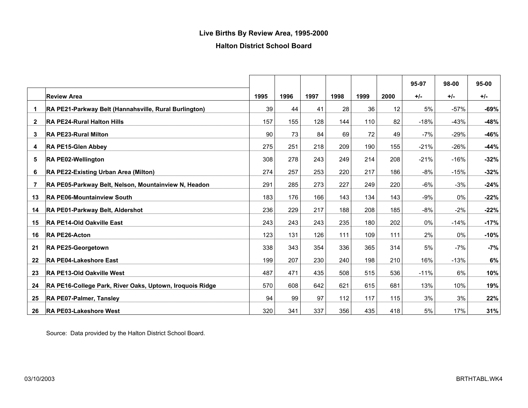### **Live Births By Review Area, 1995-2000**

### **Halton District School Board**

|              |                                                          |      |      |      |      |      |      | 95-97  | 98-00  | 95-00  |
|--------------|----------------------------------------------------------|------|------|------|------|------|------|--------|--------|--------|
|              | <b>Review Area</b>                                       | 1995 | 1996 | 1997 | 1998 | 1999 | 2000 | $+/-$  | $+/-$  | $+/-$  |
| 1            | RA PE21-Parkway Belt (Hannahsville, Rural Burlington)    | 39   | 44   | 41   | 28   | 36   | 12   | 5%     | $-57%$ | $-69%$ |
| $\mathbf{2}$ | <b>RA PE24-Rural Halton Hills</b>                        | 157  | 155  | 128  | 144  | 110  | 82   | $-18%$ | $-43%$ | $-48%$ |
| 3            | <b>RA PE23-Rural Milton</b>                              | 90   | 73   | 84   | 69   | 72   | 49   | -7%    | -29%   | $-46%$ |
| 4            | <b>RA PE15-Glen Abbey</b>                                | 275  | 251  | 218  | 209  | 190  | 155  | $-21%$ | $-26%$ | $-44%$ |
| 5            | <b>RA PE02-Wellington</b>                                | 308  | 278  | 243  | 249  | 214  | 208  | $-21%$ | $-16%$ | $-32%$ |
| 6            | RA PE22-Existing Urban Area (Milton)                     | 274  | 257  | 253  | 220  | 217  | 186  | $-8%$  | $-15%$ | $-32%$ |
| 7            | RA PE05-Parkway Belt, Nelson, Mountainview N, Headon     | 291  | 285  | 273  | 227  | 249  | 220  | $-6%$  | $-3%$  | $-24%$ |
| 13           | <b>RA PE06-Mountainview South</b>                        | 183  | 176  | 166  | 143  | 134  | 143  | -9%    | 0%     | $-22%$ |
| 14           | RA PE01-Parkway Belt, Aldershot                          | 236  | 229  | 217  | 188  | 208  | 185  | $-8%$  | $-2%$  | $-22%$ |
| 15           | RA PE14-Old Oakville East                                | 243  | 243  | 243  | 235  | 180  | 202  | 0%     | $-14%$ | $-17%$ |
| 16           | <b>RA PE26-Acton</b>                                     | 123  | 131  | 126  | 111  | 109  | 111  | 2%     | 0%     | $-10%$ |
| 21           | <b>RA PE25-Georgetown</b>                                | 338  | 343  | 354  | 336  | 365  | 314  | 5%     | $-7%$  | $-7%$  |
| 22           | <b>RA PE04-Lakeshore East</b>                            | 199  | 207  | 230  | 240  | 198  | 210  | 16%    | $-13%$ | 6%     |
| 23           | RA PE13-Old Oakville West                                | 487  | 471  | 435  | 508  | 515  | 536  | $-11%$ | 6%     | 10%    |
| 24           | RA PE16-College Park, River Oaks, Uptown, Iroquois Ridge | 570  | 608  | 642  | 621  | 615  | 681  | 13%    | 10%    | 19%    |
| 25           | RA PE07-Palmer, Tansley                                  | 94   | 99   | 97   | 112  | 117  | 115  | 3%     | 3%     | 22%    |
| 26           | <b>RA PE03-Lakeshore West</b>                            | 320  | 341  | 337  | 356  | 435  | 418  | 5%     | 17%    | 31%    |

Source: Data provided by the Halton District School Board.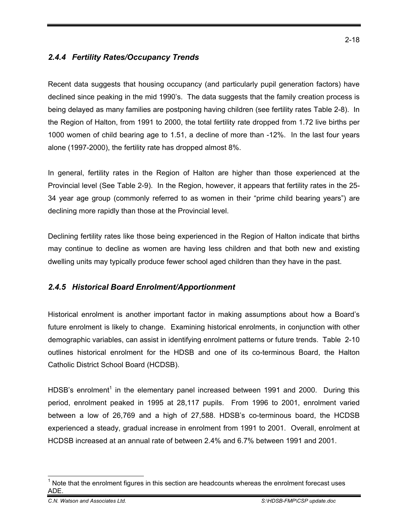### *2.4.4 Fertility Rates/Occupancy Trends*

Recent data suggests that housing occupancy (and particularly pupil generation factors) have declined since peaking in the mid 1990's. The data suggests that the family creation process is being delayed as many families are postponing having children (see fertility rates Table 2-8). In the Region of Halton, from 1991 to 2000, the total fertility rate dropped from 1.72 live births per 1000 women of child bearing age to 1.51, a decline of more than -12%. In the last four years alone (1997-2000), the fertility rate has dropped almost 8%.

In general, fertility rates in the Region of Halton are higher than those experienced at the Provincial level (See Table 2-9). In the Region, however, it appears that fertility rates in the 25- 34 year age group (commonly referred to as women in their "prime child bearing years") are declining more rapidly than those at the Provincial level.

Declining fertility rates like those being experienced in the Region of Halton indicate that births may continue to decline as women are having less children and that both new and existing dwelling units may typically produce fewer school aged children than they have in the past.

### *2.4.5 Historical Board Enrolment/Apportionment*

Historical enrolment is another important factor in making assumptions about how a Board's future enrolment is likely to change. Examining historical enrolments, in conjunction with other demographic variables, can assist in identifying enrolment patterns or future trends. Table 2-10 outlines historical enrolment for the HDSB and one of its co-terminous Board, the Halton Catholic District School Board (HCDSB).

HDSB's enrolment<sup>1</sup> in the elementary panel increased between 1991 and 2000. During this period, enrolment peaked in 1995 at 28,117 pupils. From 1996 to 2001, enrolment varied between a low of 26,769 and a high of 27,588. HDSB's co-terminous board, the HCDSB experienced a steady, gradual increase in enrolment from 1991 to 2001. Overall, enrolment at HCDSB increased at an annual rate of between 2.4% and 6.7% between 1991 and 2001.

 1 Note that the enrolment figures in this section are headcounts whereas the enrolment forecast uses ADE.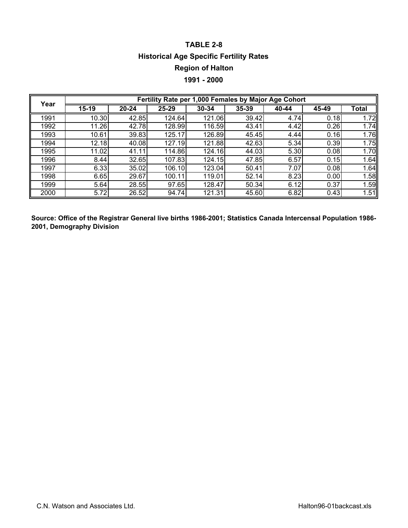## **TABLE 2-8 Historical Age Specific Fertility Rates Region of Halton 1991 - 2000**

| Year |         |       |        | Fertility Rate per 1,000 Females by Major Age Cohort |       |       |       |       |
|------|---------|-------|--------|------------------------------------------------------|-------|-------|-------|-------|
|      | $15-19$ | 20-24 | 25-29  | 30-34                                                | 35-39 | 40-44 | 45-49 | Total |
| 1991 | 10.30   | 42.85 | 124.64 | 121.06                                               | 39.42 | 4.74  | 0.18  | 1.72  |
| 1992 | 11.26   | 42.78 | 128.99 | 116.59                                               | 43.41 | 4.42  | 0.26  | 1.74  |
| 1993 | 10.61   | 39.83 | 125.17 | 126.89                                               | 45.45 | 4.44  | 0.16  | 1.76  |
| 1994 | 12.18   | 40.08 | 127.19 | 121.88                                               | 42.63 | 5.34  | 0.39  | 1.75  |
| 1995 | 11.02   | 41.11 | 114.86 | 124.16                                               | 44.03 | 5.30  | 0.08  | 1.70  |
| 1996 | 8.44    | 32.65 | 107.83 | 124.15                                               | 47.85 | 6.57  | 0.15  | 1.64  |
| 1997 | 6.33    | 35.02 | 106.10 | 123.04                                               | 50.41 | 7.07  | 0.08  | 1.64  |
| 1998 | 6.65    | 29.67 | 100.11 | 119.01                                               | 52.14 | 8.23  | 0.00  | 1.58  |
| 1999 | 5.64    | 28.55 | 97.65  | 128.47                                               | 50.34 | 6.12  | 0.37  | 1.59  |
| 2000 | 5.72    | 26.52 | 94.74  | 121.31                                               | 45.60 | 6.82  | 0.43  | 1.51  |

**Source: Office of the Registrar General live births 1986-2001; Statistics Canada Intercensal Population 1986- 2001, Demography Division**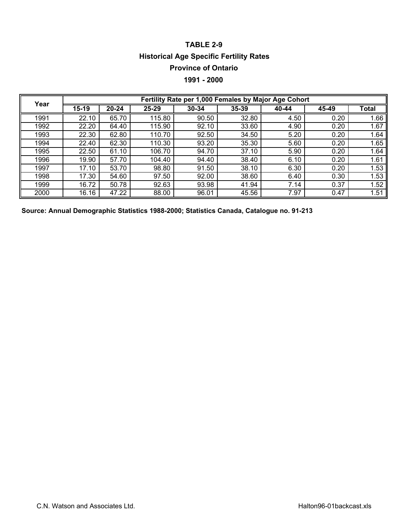## **TABLE 2-9 Historical Age Specific Fertility Rates Province of Ontario**

### **1991 - 2000**

| Year |       |       |        | Fertility Rate per 1,000 Females by Major Age Cohort |       |       |       |       |
|------|-------|-------|--------|------------------------------------------------------|-------|-------|-------|-------|
|      | 15-19 | 20-24 | 25-29  | 30-34                                                | 35-39 | 40-44 | 45-49 | Total |
| 1991 | 22.10 | 65.70 | 115.80 | 90.50                                                | 32.80 | 4.50  | 0.20  | 1.66  |
| 1992 | 22.20 | 64.40 | 115.90 | 92.10                                                | 33.60 | 4.90  | 0.20  | 1.67  |
| 1993 | 22.30 | 62.80 | 110.70 | 92.50                                                | 34.50 | 5.20  | 0.20  | 1.64  |
| 1994 | 22.40 | 62.30 | 110.30 | 93.20                                                | 35.30 | 5.60  | 0.20  | 1.65  |
| 1995 | 22.50 | 61.10 | 106.70 | 94.70                                                | 37.10 | 5.90  | 0.20  | 1.64  |
| 1996 | 19.90 | 57.70 | 104.40 | 94.40                                                | 38.40 | 6.10  | 0.20  | 1.61  |
| 1997 | 17.10 | 53.70 | 98.80  | 91.50                                                | 38.10 | 6.30  | 0.20  | 1.53  |
| 1998 | 17.30 | 54.60 | 97.50  | 92.00                                                | 38.60 | 6.40  | 0.30  | 1.53  |
| 1999 | 16.72 | 50.78 | 92.63  | 93.98                                                | 41.94 | 7.14  | 0.37  | 1.52  |
| 2000 | 16.16 | 47.22 | 88.00  | 96.01                                                | 45.56 | 7.97  | 0.47  | 1.51  |

**Source: Annual Demographic Statistics 1988-2000; Statistics Canada, Catalogue no. 91-213**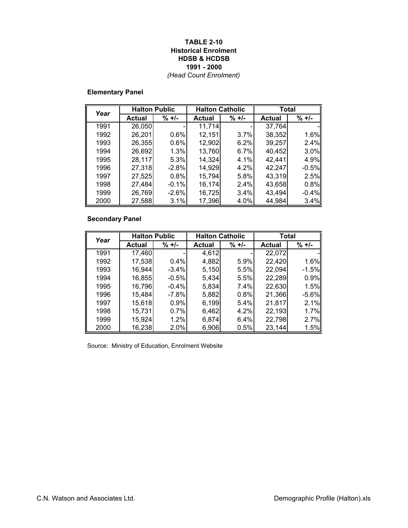#### **TABLE 2-10 Historical Enrolment HDSB & HCDSB 1991 - 2000** *(Head Count Enrolment)*

### **Elementary Panel**

| Year | <b>Halton Public</b> |         |               | <b>Halton Catholic</b> | <b>Total</b>  |         |
|------|----------------------|---------|---------------|------------------------|---------------|---------|
|      | <b>Actual</b>        | $% +/-$ | <b>Actual</b> | $\% +$ /-              | <b>Actual</b> | $% +/-$ |
| 1991 | 26,050               |         | 11,714        |                        | 37,764        |         |
| 1992 | 26,201               | 0.6%    | 12,151        | 3.7%                   | 38,352        | 1.6%    |
| 1993 | 26,355               | 0.6%    | 12,902        | 6.2%                   | 39,257        | 2.4%    |
| 1994 | 26,692               | 1.3%    | 13,760        | 6.7%                   | 40,452        | 3.0%    |
| 1995 | 28,117               | 5.3%    | 14,324        | 4.1%                   | 42,441        | 4.9%    |
| 1996 | 27,318               | $-2.8%$ | 14,929        | 4.2%                   | 42,247        | $-0.5%$ |
| 1997 | 27,525               | 0.8%    | 15,794        | 5.8%                   | 43,319        | 2.5%    |
| 1998 | 27,484               | $-0.1%$ | 16,174        | 2.4%                   | 43,658        | 0.8%    |
| 1999 | 26,769               | $-2.6%$ | 16,725        | 3.4%                   | 43,494        | $-0.4%$ |
| 2000 | 27,588               | 3.1%    | 17,396        | 4.0%                   | 44,984        | 3.4%    |

### **Secondary Panel**

| Year | <b>Halton Public</b> |          |        | <b>Halton Catholic</b> | Total         |           |
|------|----------------------|----------|--------|------------------------|---------------|-----------|
|      | <b>Actual</b>        | $% +/-$  | Actual | $% +1 -$               | <b>Actual</b> | $\% +$ /- |
| 1991 | 17,460               |          | 4,612  |                        | 22,072        |           |
| 1992 | 17,538               | 0.4%     | 4,882  | 5.9%                   | 22,420        | 1.6%      |
| 1993 | 16,944               | $-3.4\%$ | 5,150  | 5.5%                   | 22,094        | $-1.5%$   |
| 1994 | 16,855               | $-0.5%$  | 5,434  | 5.5%                   | 22,289        | 0.9%      |
| 1995 | 16,796               | $-0.4\%$ | 5,834  | 7.4%                   | 22,630        | 1.5%      |
| 1996 | 15,484               | $-7.8%$  | 5,882  | 0.8%                   | 21,366        | $-5.6%$   |
| 1997 | 15,618               | 0.9%     | 6,199  | 5.4%                   | 21,817        | 2.1%      |
| 1998 | 15,731               | 0.7%     | 6,462  | 4.2%                   | 22,193        | 1.7%      |
| 1999 | 15,924               | 1.2%     | 6,874  | 6.4%                   | 22,798        | 2.7%      |
| 2000 | 16,238               | 2.0%     | 6,906  | 0.5%                   | 23,144        | 1.5%      |

Source: Ministry of Education, Enrolment Website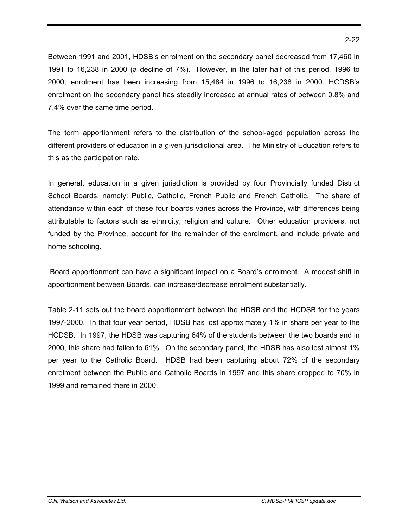Between 1991 and 2001, HDSB's enrolment on the secondary panel decreased from 17,460 in 1991 to 16,238 in 2000 (a decline of 7%). However, in the later half of this period, 1996 to 2000, enrolment has been increasing from 15,484 in 1996 to 16,238 in 2000. HCDSB's enrolment on the secondary panel has steadily increased at annual rates of between 0.8% and 7.4% over the same time period.

The term apportionment refers to the distribution of the school-aged population across the different providers of education in a given jurisdictional area. The Ministry of Education refers to this as the participation rate.

In general, education in a given jurisdiction is provided by four Provincially funded District School Boards, namely: Public, Catholic, French Public and French Catholic. The share of attendance within each of these four boards varies across the Province, with differences being attributable to factors such as ethnicity, religion and culture. Other education providers, not funded by the Province, account for the remainder of the enrolment, and include private and home schooling.

 Board apportionment can have a significant impact on a Board's enrolment. A modest shift in apportionment between Boards, can increase/decrease enrolment substantially.

Table 2-11 sets out the board apportionment between the HDSB and the HCDSB for the years 1997-2000. In that four year period, HDSB has lost approximately 1% in share per year to the HCDSB. In 1997, the HDSB was capturing 64% of the students between the two boards and in 2000, this share had fallen to 61%. On the secondary panel, the HDSB has also lost almost 1% per year to the Catholic Board. HDSB had been capturing about 72% of the secondary enrolment between the Public and Catholic Boards in 1997 and this share dropped to 70% in 1999 and remained there in 2000.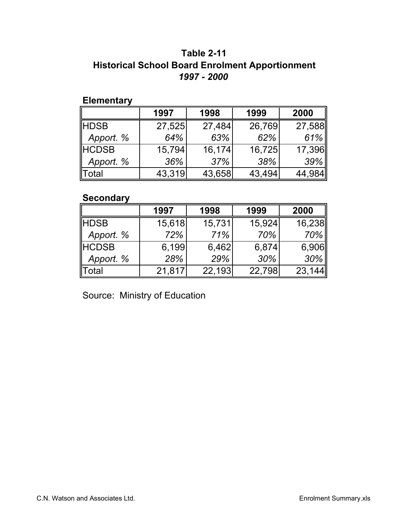## **Historical School Board Enrolment Apportionment** *1997 - 2000* **Table 2-11**

### **Elementary**

|              | 1997   | 1998   | 1999   | 2000   |
|--------------|--------|--------|--------|--------|
| <b>HDSB</b>  | 27,525 | 27,484 | 26,769 | 27,588 |
| Apport. %    | 64%    | 63%    | 62%    | 61%    |
| <b>HCDSB</b> | 15,794 | 16,174 | 16,725 | 17,396 |
| Apport. %    | 36%    | 37%    | 38%    | 39%    |
| Total        | 43,319 | 43,658 | 43,494 | 44,984 |

### **Secondary**

|           | 1997   | 1998   | 1999   | 2000   |
|-----------|--------|--------|--------|--------|
| ∥HDSB     | 15,618 | 15,731 | 15,924 | 16,238 |
| Apport. % | 72%    | 71%    | 70%    | $70\%$ |
| HCDSB     | 6.199  | 6,462  | 6,874  | 6,906  |
| Apport. % | 28%    | 29%    | 30%    | 30%    |
| ∥Total    | 21,817 | 22,193 | 22,798 | 23,144 |

Source: Ministry of Education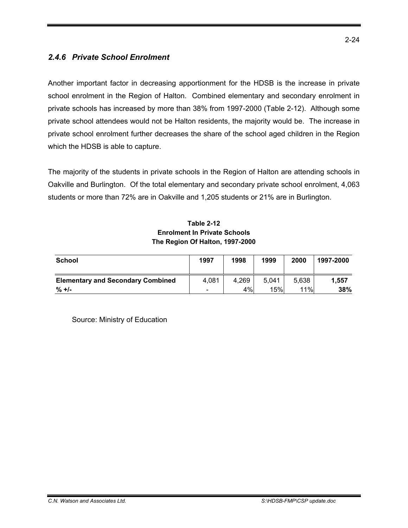### *2.4.6 Private School Enrolment*

Another important factor in decreasing apportionment for the HDSB is the increase in private school enrolment in the Region of Halton. Combined elementary and secondary enrolment in private schools has increased by more than 38% from 1997-2000 (Table 2-12). Although some private school attendees would not be Halton residents, the majority would be. The increase in private school enrolment further decreases the share of the school aged children in the Region which the HDSB is able to capture.

The majority of the students in private schools in the Region of Halton are attending schools in Oakville and Burlington. Of the total elementary and secondary private school enrolment, 4,063 students or more than 72% are in Oakville and 1,205 students or 21% are in Burlington.

### **Table 2-12 Enrolment In Private Schools The Region Of Halton, 1997-2000**

| School                                   | 1997                         | 1998  | 1999  | 2000  | 1997-2000 |
|------------------------------------------|------------------------------|-------|-------|-------|-----------|
| <b>Elementary and Secondary Combined</b> | 4,081                        | 4,269 | 5.041 | 5.638 | 1.557     |
| $\% +1$                                  | $\qquad \qquad \blacksquare$ | 4%    | 15%   | 11%   | 38%       |

Source: Ministry of Education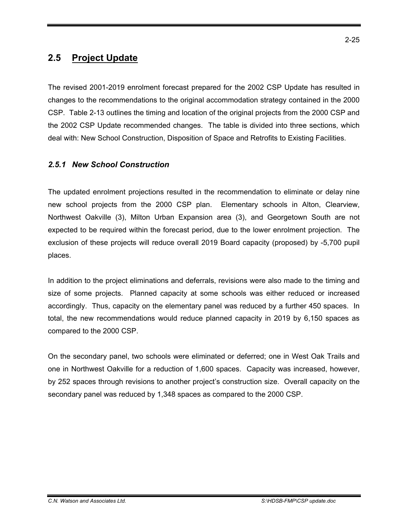## **2.5 Project Update**

The revised 2001-2019 enrolment forecast prepared for the 2002 CSP Update has resulted in changes to the recommendations to the original accommodation strategy contained in the 2000 CSP. Table 2-13 outlines the timing and location of the original projects from the 2000 CSP and the 2002 CSP Update recommended changes. The table is divided into three sections, which deal with: New School Construction, Disposition of Space and Retrofits to Existing Facilities.

### *2.5.1 New School Construction*

The updated enrolment projections resulted in the recommendation to eliminate or delay nine new school projects from the 2000 CSP plan. Elementary schools in Alton, Clearview, Northwest Oakville (3), Milton Urban Expansion area (3), and Georgetown South are not expected to be required within the forecast period, due to the lower enrolment projection. The exclusion of these projects will reduce overall 2019 Board capacity (proposed) by -5,700 pupil places.

In addition to the project eliminations and deferrals, revisions were also made to the timing and size of some projects. Planned capacity at some schools was either reduced or increased accordingly. Thus, capacity on the elementary panel was reduced by a further 450 spaces. In total, the new recommendations would reduce planned capacity in 2019 by 6,150 spaces as compared to the 2000 CSP.

On the secondary panel, two schools were eliminated or deferred; one in West Oak Trails and one in Northwest Oakville for a reduction of 1,600 spaces. Capacity was increased, however, by 252 spaces through revisions to another project's construction size. Overall capacity on the secondary panel was reduced by 1,348 spaces as compared to the 2000 CSP.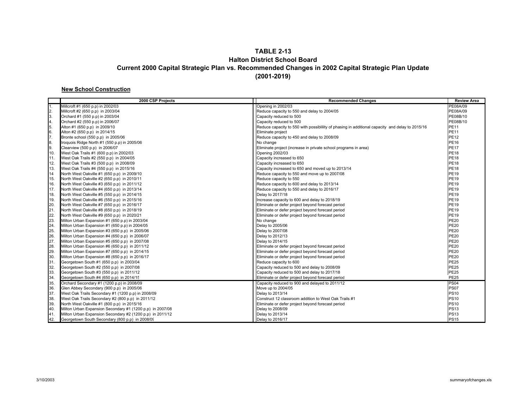#### **TABLE 2-13 Halton District School Board Current 2000 Capital Strategic Plan vs. Recommended Changes in 2002 Capital Strategic Plan Update (2001-2019)**

#### **New School Construction**

|               | 2000 CSP Projects                                         | <b>Recommended Changes</b>                                                                     | <b>Review Area</b> |
|---------------|-----------------------------------------------------------|------------------------------------------------------------------------------------------------|--------------------|
| 1.            | Millcroft #1 (650 p.p) in 2002/03                         | Opening in 2002/03                                                                             | PE08A/09           |
|               | Millcroft #2 (650 p.p) in 2003/04                         | Reduce capacity to 550 and delay to 2004/05                                                    | PE08A/09           |
| $\frac{2}{3}$ | Orchard #1 (550 p.p) in 2003/04                           | Capacity reduced to 500                                                                        | PE08B/10           |
| 4.            | Orchard #2 (550 p.p) in 2006/07                           | Capacity reduced to 500                                                                        | PE08B/10           |
| 5.            | Alton #1 (650 p.p) in 2009/10                             | Reduce capacity to 550 with possibility of phasing in additional capacity and delay to 2015/16 | <b>PE11</b>        |
| 6.7.          | Alton #2 (650 p.p) in 2014/15                             | Eliminate project                                                                              | <b>PE11</b>        |
|               | Bronte school (550 p.p) in 2005/06                        | Reduce capacity to 450 and delay to 2008/09                                                    | <b>PE12</b>        |
| 8.            | Iroquois Ridge North #1 (550 p.p) in 2005/06              | No change                                                                                      | <b>PE16</b>        |
| 9.            | Clearview (500 p.p) in 2006/07                            | Eliminate project (increase in private school programs in area)                                | <b>PE17</b>        |
| 10.           | West Oak Trails #1 (600 p.p) in 2002/03                   | Opening 2002/03                                                                                | <b>PE18</b>        |
| 11.           | West Oak Trails #2 (550 p.p) in 2004/05                   | Capacity increased to 650                                                                      | <b>PE18</b>        |
| 12.           | West Oak Trails #3 (500 p.p) in 2008/09                   | Capacity increased to 650                                                                      | <b>PE18</b>        |
| 13.           | West Oak Trails #4 (550 p.p) in 2015/16                   | Capacity increased to 650 and moved up to 2013/14                                              | <b>PE18</b>        |
| 14            | North West Oakville #1 (650 p.p) in 2009/10               | Reduce capacity to 550 and move up to 2007/08                                                  | <b>PE19</b>        |
| 15.           | North West Oakville #2 (650 p.p) in 2010/11               | Reduce capacity to 550                                                                         | <b>PE19</b>        |
| 16.           | North West Oakville #3 (650 p.p) in 2011/12               | Reduce capacity to 600 and delay to 2013/14                                                    | <b>PE19</b>        |
| 17.           | North West Oakville #4 (650 p.p) in 2013/14               | Reduce capacity to 550 and delay to 2016/17                                                    | <b>PE19</b>        |
| 18.           | North West Oakville #5 (550 p.p) in 2014/15               | Delay to 2017/18                                                                               | <b>PE19</b>        |
| 19.           | North West Oakville #6 (550 p.p) in 2015/16               | Increase capacity to 600 and delay to 2018/19                                                  | <b>PE19</b>        |
| 20.           | North West Oakville #7 (650 p.p) in 2016/17               | Eliminate or defer project beyond forecast period                                              | <b>PE19</b>        |
| 21.           | North West Oakville #8 (650 p.p) in 2018/19               | Eliminate or defer project beyond forecast period                                              | <b>PE19</b>        |
| 22.           | North West Oakville #9 (650 p.p) in 2020/21               | Eliminate or defer project beyond forecast period                                              | <b>PE19</b>        |
| 23.           | Milton Urban Expansion #1 (650 p.p) in 2003/04            | No change                                                                                      | <b>PE20</b>        |
| 24.           | Milton Urban Expansion #1 (650 p.p) in 2004/05            | Delay to 2005/06                                                                               | <b>PE20</b>        |
| 25.           | Milton Urban Expansion #3 (650 p.p) in 2005/06            | Delay to 2007/08                                                                               | <b>PE20</b>        |
| 26.           | Milton Urban Expansion #4 (650 p.p) in 2006/07            | Delay to 2012/13                                                                               | <b>PE20</b>        |
| 27.           | Milton Urban Expansion #5 (650 p.p) in 2007/08            | Delay to 2014/15                                                                               | <b>PE20</b>        |
| 28.           | Milton Urban Expansion #6 (650 p.p) in 2011/12            | Eliminate or defer project beyond forecast period                                              | <b>PE20</b>        |
| 29.           | Milton Urban Expansion #7 (650 p.p) in 2014/15            | Eliminate or defer project beyond forecast period                                              | <b>PE20</b>        |
| 30.           | Milton Urban Expansion #8 (650 p.p) in 2016/17            | Eliminate or defer project beyond forecast period                                              | <b>PE20</b>        |
| 31.           | Georgetown South #1 (650 p.p) in 2003/04                  | Reduce capacity to 600                                                                         | <b>PE25</b>        |
| 32.           | Georgetown South #2 (550 p.p) in 2007/08                  | Capacity reduced to 500 and delay to 2008/09                                                   | <b>PE25</b>        |
| 33.           | Georgetown South #3 (550 p.p) in 2011/12                  | Capacity reduced to 500 and delay to 2017/18                                                   | <b>PE25</b>        |
| 34.           | Georgetown South #4 (650 p.p) in 2014/15                  | Eliminate or defer project beyond forecast period                                              | <b>PE25</b>        |
| 35.           | Orchard Secondary #1 (1200 p.p) in 2008/09                | Capacity reduced to 900 and delayed to 2011/12                                                 | <b>PS04</b>        |
| 36.           | Glen Abbey Secondary (900 p.p) in 2005/06                 | Move up to 2004/05                                                                             | <b>PS07</b>        |
| 37.           | West Oak Trails Secondary #1 (1200 p.p) in 2008/09        | Delay to 2013/14                                                                               | <b>PS10</b>        |
| 38.           | West Oak Trails Secondary #2 (800 p.p) in 2011/12         | Construct 12 classroom addition to West Oak Trails #1                                          | <b>PS10</b>        |
| 39.           | North West Oakville #1 (800 p.p) in 2015/16               | Eliminate or defer project beyond forecast period                                              | <b>PS10</b>        |
| 40.           | Milton Urban Expansion Secondary #1 (1200 p.p) in 2007/08 | Delay to 2008/09                                                                               | <b>PS13</b>        |
| 41.           | Milton Urban Expansion Secondary #2 (1200 p.p) in 2011/12 | Delay to 2013/14                                                                               | <b>PS13</b>        |
| 42.           | Georgetown South Secondary (800 p.p) in 2008/09           | Delay to 2016/17                                                                               | <b>PS15</b>        |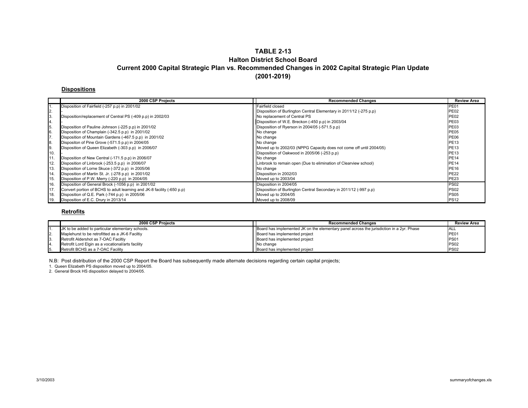#### **TABLE 2-13Halton District School BoardCurrent 2000 Capital Strategic Plan vs. Recommended Changes in 2002 Capital Strategic Plan Update (2001-2019)**

#### **Dispositions**

|     | 2000 CSP Projects                                                      | <b>Recommended Changes</b>                                          | <b>Review Area</b> |
|-----|------------------------------------------------------------------------|---------------------------------------------------------------------|--------------------|
|     | Disposition of Fairfield (-257 p.p) in 2001/02                         | Fairfield closed                                                    | <b>PE01</b>        |
| 2.  |                                                                        | Disposition of Burlington Central Elementary in 2011/12 (-275 p.p)  | <b>PE02</b>        |
| 3.  | Disposition/replacement of Central PS (-409 p.p) in 2002/03            | No replacement of Central PS                                        | <b>PE02</b>        |
| 14. |                                                                        | Disposition of W.E. Breckon (-450 p.p) in 2003/04                   | <b>PE03</b>        |
| 15. | Disposition of Pauline Johnson (-225 p.p) in 2001/02                   | Disposition of Ryerson in 2004/05 (-571.5 p.p)                      | <b>PE03</b>        |
| 6.  | Disposition of Champlain (-342.5 p.p) in 2001/02                       | No change                                                           | <b>PE05</b>        |
| 17. | Disposition of Mountain Gardens (-467.5 p.p) in 2001/02                | No change                                                           | <b>PE06</b>        |
| 8.  | Dispositon of Pine Grove (-571.5 p.p) in 2004/05                       | No change                                                           | <b>PE13</b>        |
| 9.  | Disposition of Queen Elizabeth (-303 p.p) in 2006/07                   | Moved up to 2002/03 (NPPG Capacity does not come off until 2004/05) | <b>PE13</b>        |
| 10. |                                                                        | Disposition of Oakwood in 2005/06 (-253 p.p)                        | <b>PE13</b>        |
| 11  | Disposition of New Central (-171.5 p.p) in 2006/07                     | No change                                                           | <b>PE14</b>        |
| 12. | Disposition of Linbrook (-253.5 p.p) in 2006/07                        | Linbrook to remain open (Due to elimination of Clearview school)    | <b>PE14</b>        |
| 13. | Disposition of Lorne Skuce (-372 p.p) in 2005/06                       | No change                                                           | <b>PE16</b>        |
| 14. | Disposition of Martin St. Jr. (-278 p.p) in 2001/02                    | Disposition in 2002/03                                              | <b>PE22</b>        |
| 15. | Disposition of P.W. Merry (-220 p.p) in 2004/05                        | Moved up to 2003/04                                                 | <b>PE23</b>        |
| 16. | Disposition of General Brock (-1056 p.p) in 2001/02                    | Disposition in 2004/05                                              | <b>PS02</b>        |
| 17. | Convert portion of BCHS to adult learning and JK-8 facility (-650 p.p) | Disposition of Burlington Central Secondary in 2011/12 (-997 p.p)   | <b>PS02</b>        |
| 18. | Disposition of Q.E. Park (-744 p.p) in 2005/06                         | Moved up to 2004/05                                                 | <b>PS05</b>        |
| 19. | Disposition of E.C. Drury in 2013/14                                   | Moved up to 2008/09                                                 | <b>PS12</b>        |

#### **Retrofits**

| 2000 CSP Projects                                 | <b>Recommended Changes</b>                                                               | <b>Review Area</b> |
|---------------------------------------------------|------------------------------------------------------------------------------------------|--------------------|
| JK to be added to particular elementary schools.  | Board has implemented JK on the elementary panel across the jurisdiction in a 2yr. Phase | ALL                |
| Maplehurst to be retrofitted as a JK-6 Faciltiy   | Board has implemented project                                                            | PE01               |
| Retrofit Aldershot as 7-OAC Faciltiy              | Board has implemented project                                                            | <b>PS01</b>        |
| Retrofit Lord Elgin as a vocational/arts facility | No change                                                                                | <b>PS02</b>        |
| Retrofit BCHS as a 7-OAC Facility                 | Board has implemented project                                                            | <b>PS02</b>        |

N.B: Post distribution of the 2000 CSP Report the Board has subsequently made alternate decisions regarding certain capital projects;

1. Queen Elizabeth PS disposition moved up to 2004/05.

2. General Brock HS disposition delayed to 2004/05.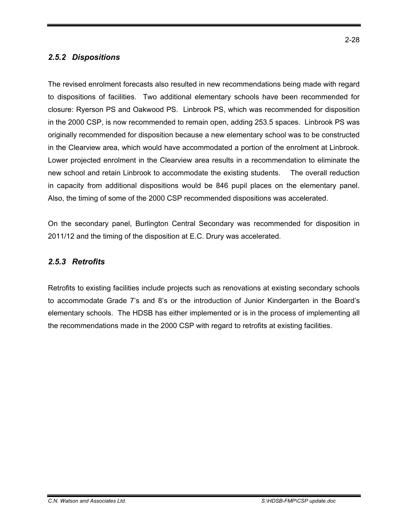### *2.5.2 Dispositions*

The revised enrolment forecasts also resulted in new recommendations being made with regard to dispositions of facilities. Two additional elementary schools have been recommended for closure: Ryerson PS and Oakwood PS. Linbrook PS, which was recommended for disposition in the 2000 CSP, is now recommended to remain open, adding 253.5 spaces. Linbrook PS was originally recommended for disposition because a new elementary school was to be constructed in the Clearview area, which would have accommodated a portion of the enrolment at Linbrook. Lower projected enrolment in the Clearview area results in a recommendation to eliminate the new school and retain Linbrook to accommodate the existing students. The overall reduction in capacity from additional dispositions would be 846 pupil places on the elementary panel. Also, the timing of some of the 2000 CSP recommended dispositions was accelerated.

On the secondary panel, Burlington Central Secondary was recommended for disposition in 2011/12 and the timing of the disposition at E.C. Drury was accelerated.

### *2.5.3 Retrofits*

Retrofits to existing facilities include projects such as renovations at existing secondary schools to accommodate Grade 7's and 8's or the introduction of Junior Kindergarten in the Board's elementary schools. The HDSB has either implemented or is in the process of implementing all the recommendations made in the 2000 CSP with regard to retrofits at existing facilities.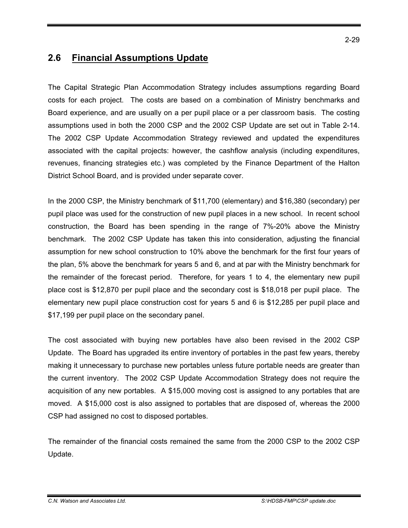## **2.6 Financial Assumptions Update**

The Capital Strategic Plan Accommodation Strategy includes assumptions regarding Board costs for each project. The costs are based on a combination of Ministry benchmarks and Board experience, and are usually on a per pupil place or a per classroom basis. The costing assumptions used in both the 2000 CSP and the 2002 CSP Update are set out in Table 2-14. The 2002 CSP Update Accommodation Strategy reviewed and updated the expenditures associated with the capital projects: however, the cashflow analysis (including expenditures, revenues, financing strategies etc.) was completed by the Finance Department of the Halton District School Board, and is provided under separate cover.

In the 2000 CSP, the Ministry benchmark of \$11,700 (elementary) and \$16,380 (secondary) per pupil place was used for the construction of new pupil places in a new school. In recent school construction, the Board has been spending in the range of 7%-20% above the Ministry benchmark. The 2002 CSP Update has taken this into consideration, adjusting the financial assumption for new school construction to 10% above the benchmark for the first four years of the plan, 5% above the benchmark for years 5 and 6, and at par with the Ministry benchmark for the remainder of the forecast period. Therefore, for years 1 to 4, the elementary new pupil place cost is \$12,870 per pupil place and the secondary cost is \$18,018 per pupil place. The elementary new pupil place construction cost for years 5 and 6 is \$12,285 per pupil place and \$17,199 per pupil place on the secondary panel.

The cost associated with buying new portables have also been revised in the 2002 CSP Update. The Board has upgraded its entire inventory of portables in the past few years, thereby making it unnecessary to purchase new portables unless future portable needs are greater than the current inventory. The 2002 CSP Update Accommodation Strategy does not require the acquisition of any new portables. A \$15,000 moving cost is assigned to any portables that are moved. A \$15,000 cost is also assigned to portables that are disposed of, whereas the 2000 CSP had assigned no cost to disposed portables.

The remainder of the financial costs remained the same from the 2000 CSP to the 2002 CSP Update.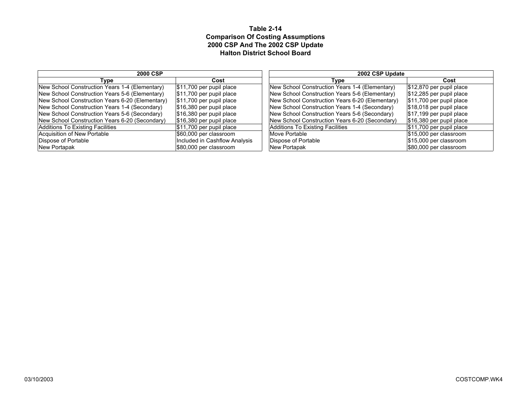#### **Table 2-14 Comparison Of Costing Assumptions 2000 CSP And The 2002 CSP Update Halton District School Board**

| <b>2000 CSP</b>                                 |                                        | 2002 CSP Update                                 |                                        |  |
|-------------------------------------------------|----------------------------------------|-------------------------------------------------|----------------------------------------|--|
| Type                                            | Cost                                   | Type                                            | Cost                                   |  |
| New School Construction Years 1-4 (Elementary)  | $ $11,700$ per pupil place             | New School Construction Years 1-4 (Elementary)  | $\frac{1}{2}$ \$12,870 per pupil place |  |
| New School Construction Years 5-6 (Elementary)  | $\frac{1}{2}$ \$11,700 per pupil place | New School Construction Years 5-6 (Elementary)  | $$12,285$ per pupil place              |  |
| New School Construction Years 6-20 (Elementary) | $\frac{1}{2}$ \$11,700 per pupil place | New School Construction Years 6-20 (Elementary) | $\frac{1}{2}$ \$11,700 per pupil place |  |
| New School Construction Years 1-4 (Secondary)   | $$16,380$ per pupil place              | New School Construction Years 1-4 (Secondary)   | $$18,018$ per pupil place              |  |
| New School Construction Years 5-6 (Secondary)   | $$16,380$ per pupil place              | New School Construction Years 5-6 (Secondary)   | $\frac{1}{2}$ \$17,199 per pupil place |  |
| New School Construction Years 6-20 (Secondary)  | $\frac{1}{3}$ 16,380 per pupil place   | New School Construction Years 6-20 (Secondary)  | $$16,380$ per pupil place              |  |
| Additions To Existing Facilities                | $ $11,700$ per pupil place             | Additions To Existing Facilities                | $ $11,700$ per pupil place             |  |
| Acquisition of New Portable                     | \$60,000 per classroom                 | Move Portable                                   | \$15,000 per classroom                 |  |
| Dispose of Portable                             | Included in Cashflow Analysis          | Dispose of Portable                             | \$15,000 per classroom                 |  |
| New Portapak                                    | \$80,000 per classroom                 | New Portapak                                    | \$80,000 per classroom                 |  |